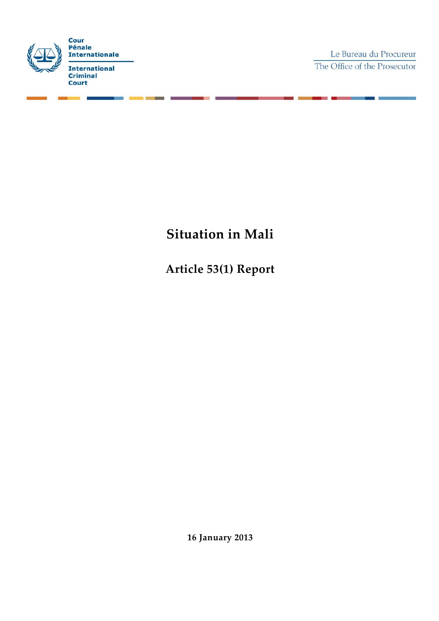

Le Bureau du Procureur The Office of the Prosecutor

# **Situation in Mali**

**Article 53(1) Report**

**16 January 2013**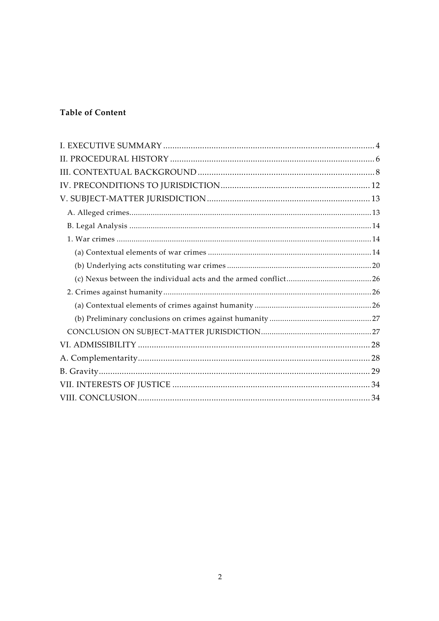# **Table of Content**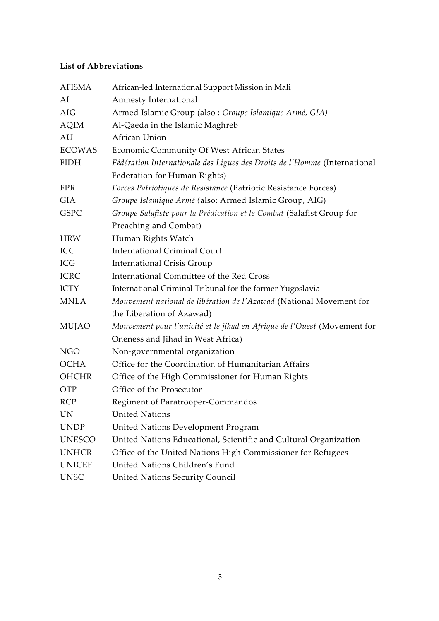## **List of Abbreviations**

| <b>AFISMA</b> | African-led International Support Mission in Mali                         |
|---------------|---------------------------------------------------------------------------|
| AI            | Amnesty International                                                     |
| AIG           | Armed Islamic Group (also : Groupe Islamique Armé, GIA)                   |
| <b>AQIM</b>   | Al-Qaeda in the Islamic Maghreb                                           |
| AU            | African Union                                                             |
| <b>ECOWAS</b> | Economic Community Of West African States                                 |
| <b>FIDH</b>   | Fédération Internationale des Ligues des Droits de l'Homme (International |
|               | Federation for Human Rights)                                              |
| <b>FPR</b>    | Forces Patriotiques de Résistance (Patriotic Resistance Forces)           |
| <b>GIA</b>    | Groupe Islamique Armé (also: Armed Islamic Group, AIG)                    |
| <b>GSPC</b>   | Groupe Salafiste pour la Prédication et le Combat (Salafist Group for     |
|               | Preaching and Combat)                                                     |
| <b>HRW</b>    | Human Rights Watch                                                        |
| ICC           | <b>International Criminal Court</b>                                       |
| ICG           | <b>International Crisis Group</b>                                         |
| <b>ICRC</b>   | International Committee of the Red Cross                                  |
| <b>ICTY</b>   | International Criminal Tribunal for the former Yugoslavia                 |
| <b>MNLA</b>   | Mouvement national de libération de l'Azawad (National Movement for       |
|               | the Liberation of Azawad)                                                 |
| <b>MUJAO</b>  | Mouvement pour l'unicité et le jihad en Afrique de l'Ouest (Movement for  |
|               | Oneness and Jihad in West Africa)                                         |
| <b>NGO</b>    | Non-governmental organization                                             |
| <b>OCHA</b>   | Office for the Coordination of Humanitarian Affairs                       |
| <b>OHCHR</b>  | Office of the High Commissioner for Human Rights                          |
| OTP           | Office of the Prosecutor                                                  |
| <b>RCP</b>    | Regiment of Paratrooper-Commandos                                         |
| <b>UN</b>     | <b>United Nations</b>                                                     |
| <b>UNDP</b>   | United Nations Development Program                                        |
| <b>UNESCO</b> | United Nations Educational, Scientific and Cultural Organization          |
| <b>UNHCR</b>  | Office of the United Nations High Commissioner for Refugees               |
| <b>UNICEF</b> | United Nations Children's Fund                                            |
| <b>UNSC</b>   | United Nations Security Council                                           |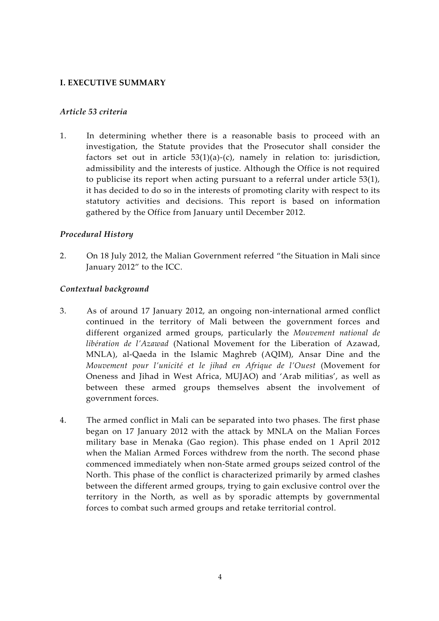#### **I. EXECUTIVE SUMMARY**

#### *Article 53 criteria*

1. In determining whether there is a reasonable basis to proceed with an investigation, the Statute provides that the Prosecutor shall consider the factors set out in article  $53(1)(a)-(c)$ , namely in relation to: jurisdiction, admissibility and the interests of justice. Although the Office is not required to publicise its report when acting pursuant to a referral under article 53(1), it has decided to do so in the interests of promoting clarity with respect to its statutory activities and decisions. This report is based on information gathered by the Office from January until December 2012.

#### *Procedural History*

2. On 18 July 2012, the Malian Government referred "the Situation in Mali since January 2012" to the ICC.

#### *Contextual background*

- 3. As of around 17 January 2012, an ongoing non-international armed conflict continued in the territory of Mali between the government forces and different organized armed groups, particularly the *Mouvement national de libération de l'Azawad* (National Movement for the Liberation of Azawad, MNLA), al-Qaeda in the Islamic Maghreb (AQIM), Ansar Dine and the *Mouvement pour l'unicité et le jihad en Afrique de l'Ouest* (Movement for Oneness and Jihad in West Africa, MUJAO) and 'Arab militias', as well as between these armed groups themselves absent the involvement of government forces.
- 4. The armed conflict in Mali can be separated into two phases. The first phase began on 17 January 2012 with the attack by MNLA on the Malian Forces military base in Menaka (Gao region). This phase ended on 1 April 2012 when the Malian Armed Forces withdrew from the north. The second phase commenced immediately when non-State armed groups seized control of the North. This phase of the conflict is characterized primarily by armed clashes between the different armed groups, trying to gain exclusive control over the territory in the North, as well as by sporadic attempts by governmental forces to combat such armed groups and retake territorial control.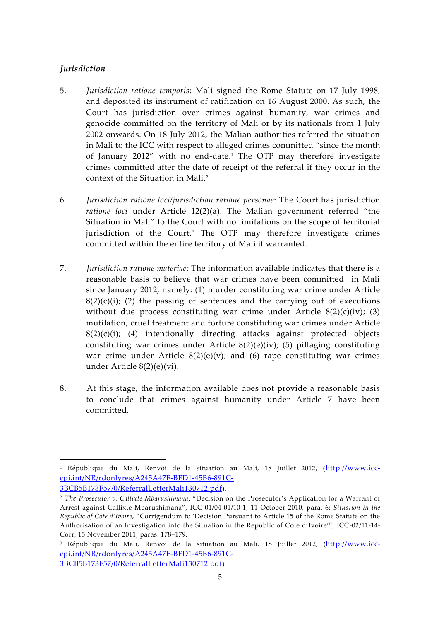#### *Jurisdiction*

- 5. *Jurisdiction ratione temporis*: Mali signed the Rome Statute on 17 July 1998, and deposited its instrument of ratification on 16 August 2000. As such, the Court has jurisdiction over crimes against humanity, war crimes and genocide committed on the territory of Mali or by its nationals from 1 July 2002 onwards. On 18 July 2012, the Malian authorities referred the situation in Mali to the ICC with respect to alleged crimes committed "since the month of January 2012" with no end-date.<sup>1</sup> The OTP may therefore investigate crimes committed after the date of receipt of the referral if they occur in the context of the Situation in Mali.<sup>2</sup>
- 6. *Jurisdiction ratione loci/jurisdiction ratione personae*: The Court has jurisdiction *ratione loci* under Article 12(2)(a). The Malian government referred "the Situation in Mali" to the Court with no limitations on the scope of territorial jurisdiction of the Court.<sup>3</sup> The OTP may therefore investigate crimes committed within the entire territory of Mali if warranted.
- 7. *Jurisdiction ratione materiae:* The information available indicates that there is a reasonable basis to believe that war crimes have been committed in Mali since January 2012, namely: (1) murder constituting war crime under Article  $8(2)(c)(i)$ ; (2) the passing of sentences and the carrying out of executions without due process constituting war crime under Article  $8(2)(c)(iv)$ ; (3) mutilation, cruel treatment and torture constituting war crimes under Article  $8(2)(c)(i)$ ; (4) intentionally directing attacks against protected objects constituting war crimes under Article 8(2)(e)(iv); (5) pillaging constituting war crime under Article  $8(2)(e)(v)$ ; and (6) rape constituting war crimes under Article 8(2)(e)(vi).
- 8. At this stage, the information available does not provide a reasonable basis to conclude that crimes against humanity under Article 7 have been committed.

<sup>1</sup> République du Mali, Renvoi de la situation au Mali, 18 Juillet 2012, (http://www.icc cpi.int/NR/rdonlyres/A245A47F-BFD1-45B6-891C-

<sup>3</sup>BCB5B173F57/0/ReferralLetterMali130712.pdf).

<sup>2</sup> *The Prosecutor v. Callixte Mbarushimana*, "Decision on the Prosecutor's Application for a Warrant of Arrest against Callixte Mbarushimana", ICC-01/04-01/10-1, 11 October 2010, para. 6; *Situation in the Republic of Cote d'Ivoire*, "Corrigendum to 'Decision Pursuant to Article 15 of the Rome Statute on the Authorisation of an Investigation into the Situation in the Republic of Cote d'Ivoire'", ICC-02/11-14- Corr, 15 November 2011, paras. 178–179.

<sup>&</sup>lt;sup>3</sup> République du Mali, Renvoi de la situation au Mali, 18 Juillet 2012, (http://www.icccpi.int/NR/rdonlyres/A245A47F-BFD1-45B6-891C- 3BCB5B173F57/0/ReferralLetterMali130712.pdf).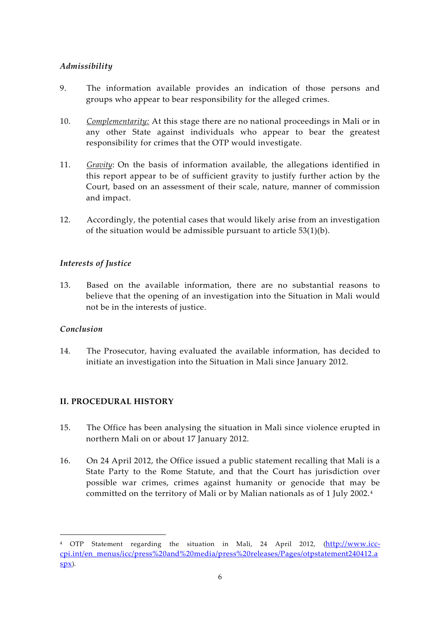## *Admissibility*

- 9. The information available provides an indication of those persons and groups who appear to bear responsibility for the alleged crimes.
- 10. *Complementarity:* At this stage there are no national proceedings in Mali or in any other State against individuals who appear to bear the greatest responsibility for crimes that the OTP would investigate.
- 11. *Gravity*: On the basis of information available, the allegations identified in this report appear to be of sufficient gravity to justify further action by the Court, based on an assessment of their scale, nature, manner of commission and impact.
- 12. Accordingly, the potential cases that would likely arise from an investigation of the situation would be admissible pursuant to article  $53(1)(b)$ .

## *Interests of Justice*

13. Based on the available information, there are no substantial reasons to believe that the opening of an investigation into the Situation in Mali would not be in the interests of justice.

## *Conclusion*

14. The Prosecutor, having evaluated the available information, has decided to initiate an investigation into the Situation in Mali since January 2012.

## **II. PROCEDURAL HISTORY**

- 15. The Office has been analysing the situation in Mali since violence erupted in northern Mali on or about 17 January 2012.
- 16. On 24 April 2012, the Office issued a public statement recalling that Mali is a State Party to the Rome Statute, and that the Court has jurisdiction over possible war crimes, crimes against humanity or genocide that may be committed on the territory of Mali or by Malian nationals as of 1 July 2002. <sup>4</sup>

<sup>4</sup> OTP Statement regarding the situation in Mali, 24 April 2012, (http://www.icc cpi.int/en\_menus/icc/press%20and%20media/press%20releases/Pages/otpstatement240412.a spx).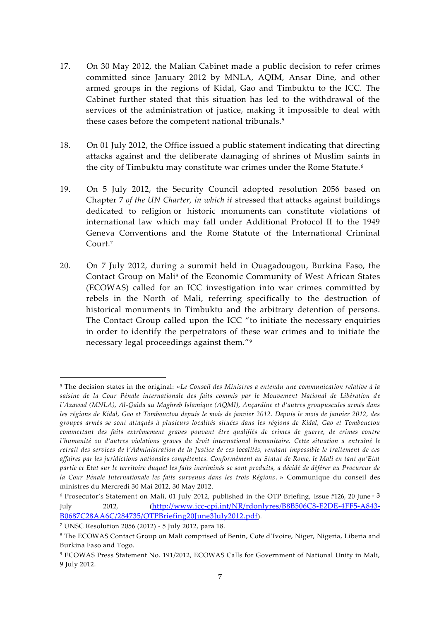- 17. On 30 May 2012, the Malian Cabinet made a public decision to refer crimes committed since January 2012 by MNLA, AQIM, Ansar Dine, and other armed groups in the regions of Kidal, Gao and Timbuktu to the ICC. The Cabinet further stated that this situation has led to the withdrawal of the services of the administration of justice, making it impossible to deal with these cases before the competent national tribunals.<sup>5</sup>
- 18. On 01 July 2012, the Office issued a public statement indicating that directing attacks against and the deliberate damaging of shrines of Muslim saints in the city of Timbuktu may constitute war crimes under the Rome Statute. <sup>6</sup>
- 19. On 5 July 2012, the Security Council adopted resolution 2056 based on Chapter 7 *of the UN Charter, in which it* stressed that attacks against buildings dedicated to religion or historic monuments can constitute violations of international law which may fall under Additional Protocol II to the 1949 Geneva Conventions and the Rome Statute of the International Criminal Court.<sup>7</sup>
- 20. On 7 July 2012, during a summit held in Ouagadougou, Burkina Faso, the Contact Group on Mali<sup>8</sup> of the Economic Community of West African States (ECOWAS) called for an ICC investigation into war crimes committed by rebels in the North of Mali, referring specifically to the destruction of historical monuments in Timbuktu and the arbitrary detention of persons. The Contact Group called upon the ICC "to initiate the necessary enquiries in order to identify the perpetrators of these war crimes and to initiate the necessary legal proceedings against them."<sup>9</sup>

<sup>5</sup> The decision states in the original: «*Le Conseil des Ministres a entendu une communication relative à la* saisine de la Cour Pénale internationale des faits commis par le Mouvement National de Libération de *l'Azawad (MNLA), Al-Qaïda au Maghreb Islamique (AQMI), Ançardine et d'autres groupuscules armés dans les régions de Kidal, Gao et Tombouctou depuis le mois de janvier 2012. Depuis le mois de janvier 2012, des groupes armés se sont attaqués à plusieurs localités situées dans les régions de Kidal, Gao et Tombouctou commettant des faits extrêmement graves pouvant être qualifiés de crimes de guerre, de crimes contre l'humanité ou d'autres violations graves du droit international humanitaire. Cette situation a entraîné le retrait des services de l'Administration de la Justice de ces localités, rendant impossible le traitement de ces affaires par les juridictions nationales compétentes. Conformément au Statut de Rome, le Mali en tant qu'Etat partie et Etat sur le territoire duquel les faits incriminés se sont produits, a décidé de déférer au Procureur de la Cour Pénale Internationale les faits survenus dans les trois Régions*. » Communique du conseil des ministres du Mercredi 30 Mai 2012, 30 May 2012.

<sup>6</sup> Prosecutor's Statement on Mali, 01 July 2012, published in the OTP Briefing, Issue #126, 20 June ‐ 3 July 2012, (http://www.icc-cpi.int/NR/rdonlyres/B8B506C8-E2DE-4FF5-A843- B0687C28AA6C/284735/OTPBriefing20June3July2012.pdf).

<sup>7</sup> UNSC Resolution 2056 (2012) - 5 July 2012, para 18.

<sup>8</sup> The ECOWAS Contact Group on Mali comprised of Benin, Cote d'Ivoire, Niger, Nigeria, Liberia and Burkina Faso and Togo.

<sup>9</sup> ECOWAS Press Statement No. 191/2012, ECOWAS Calls for Government of National Unity in Mali, 9 July 2012.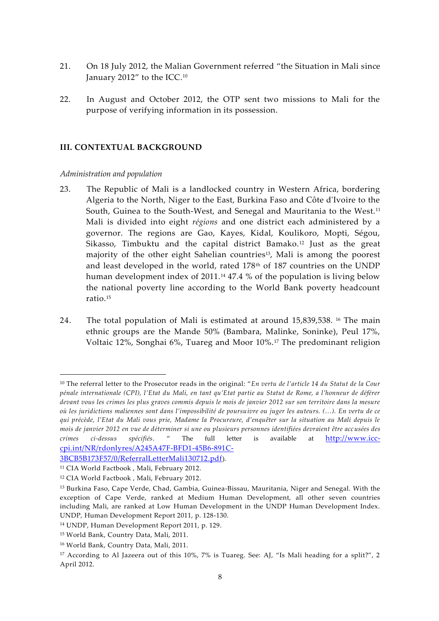- 21. On 18 July 2012, the Malian Government referred "the Situation in Mali since January 2012" to the ICC.<sup>10</sup>
- 22. In August and October 2012, the OTP sent two missions to Mali for the purpose of verifying information in its possession.

#### **III. CONTEXTUAL BACKGROUND**

#### *Administration and population*

- 23. The Republic of Mali is a landlocked country in Western Africa, bordering Algeria to the North, Niger to the East, Burkina Faso and Côte d'Ivoire to the South, Guinea to the South-West, and Senegal and Mauritania to the West.<sup>11</sup> Mali is divided into eight *régions* and one district each administered by a governor. The regions are Gao, Kayes, Kidal, Koulikoro, Mopti, Ségou, Sikasso, Timbuktu and the capital district Bamako.<sup>12</sup> Just as the great majority of the other eight Sahelian countries<sup>13</sup>, Mali is among the poorest and least developed in the world, rated 178th of 187 countries on the UNDP human development index of 2011.<sup>14</sup> 47.4 % of the population is living below the national poverty line according to the World Bank poverty headcount ratio.<sup>15</sup>
- 24. The total population of Mali is estimated at around 15,839,538. <sup>16</sup> The main ethnic groups are the Mande 50% (Bambara, Malinke, Soninke), Peul 17%, Voltaic 12%, Songhai 6%, Tuareg and Moor 10%.<sup>17</sup> The predominant religion

<sup>10</sup> The referral letter to the Prosecutor reads in the original: "*En vertu de l'article 14 du Statut de la Cour pénale internationale (CPI), l'Etat du Mali, en tant qu'Etat partie au Statut de Rome, a l'honneur de déférer devant vous les crimes les plus graves commis depuis le mois de janvier 2012 sur son territoire dans la mesure où les juridictions maliennes sont dans l'impossibilité de poursuivre ou juger les auteurs. (…). En vertu de ce qui précède, l'Etat du Mali vous prie, Madame la Procureure, d'enquêter sur la situation au Mali depuis le mois de janvier 2012 en vue de déterminer si une ou plusieurs personnes identifiées devraient être accusées des crimes ci-dessus spécifiés*. " The full letter is available at http://www.icc cpi.int/NR/rdonlyres/A245A47F-BFD1-45B6-891C-

<sup>3</sup>BCB5B173F57/0/ReferralLetterMali130712.pdf).

<sup>11</sup> CIA World Factbook , Mali, February 2012.

<sup>12</sup> CIA World Factbook , Mali, February 2012.

<sup>13</sup> Burkina Faso, Cape Verde, Chad, Gambia, Guinea-Bissau, Mauritania, Niger and Senegal. With the exception of Cape Verde, ranked at Medium Human Development, all other seven countries including Mali, are ranked at Low Human Development in the UNDP Human Development Index. UNDP, Human Development Report 2011, p. 128-130.

<sup>14</sup> UNDP, Human Development Report 2011, p. 129.

<sup>15</sup> World Bank, Country Data, Mali, 2011.

<sup>16</sup> World Bank, Country Data, Mali, 2011.

<sup>17</sup> According to Al Jazeera out of this 10%, 7% is Tuareg. See: AJ, "Is Mali heading for a split?", 2 April 2012.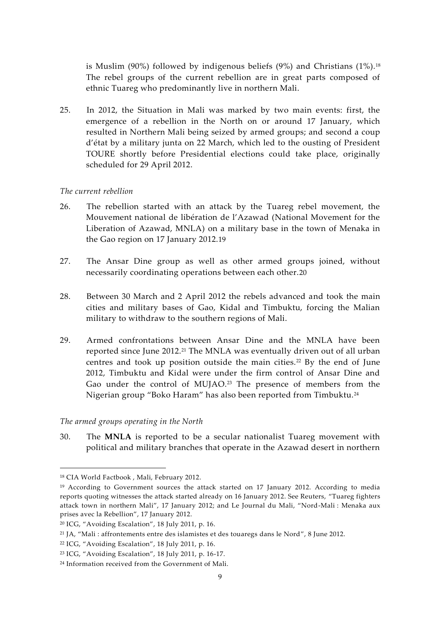is Muslim (90%) followed by indigenous beliefs (9%) and Christians  $(1\%)$ .<sup>18</sup> The rebel groups of the current rebellion are in great parts composed of ethnic Tuareg who predominantly live in northern Mali.

25. In 2012, the Situation in Mali was marked by two main events: first, the emergence of a rebellion in the North on or around 17 January, which resulted in Northern Mali being seized by armed groups; and second a coup d'état by a military junta on 22 March, which led to the ousting of President TOURE shortly before Presidential elections could take place, originally scheduled for 29 April 2012.

#### *The current rebellion*

- 26. The rebellion started with an attack by the Tuareg rebel movement, the Mouvement national de libération de l'Azawad (National Movement for the Liberation of Azawad, MNLA) on a military base in the town of Menaka in the Gao region on 17 January 2012.19
- 27. The Ansar Dine group as well as other armed groups joined, without necessarily coordinating operations between each other.20
- 28. Between 30 March and 2 April 2012 the rebels advanced and took the main cities and military bases of Gao, Kidal and Timbuktu, forcing the Malian military to withdraw to the southern regions of Mali.
- 29. Armed confrontations between Ansar Dine and the MNLA have been reported since June 2012.<sup>21</sup> The MNLA was eventually driven out of all urban centres and took up position outside the main cities.<sup>22</sup> By the end of June 2012, Timbuktu and Kidal were under the firm control of Ansar Dine and Gao under the control of MUJAO.<sup>23</sup> The presence of members from the Nigerian group "Boko Haram" has also been reported from Timbuktu.<sup>24</sup>

*The armed groups operating in the North*

30. The **MNLA** is reported to be a secular nationalist Tuareg movement with political and military branches that operate in the Azawad desert in northern

<sup>18</sup> CIA World Factbook , Mali, February 2012.

<sup>&</sup>lt;sup>19</sup> According to Government sources the attack started on 17 January 2012. According to media reports quoting witnesses the attack started already on 16 January 2012. See Reuters, "Tuareg fighters attack town in northern Mali", 17 January 2012; and Le Journal du Mali, "Nord-Mali : Menaka aux prises avec la Rebellion", 17 January 2012.

<sup>20</sup> ICG, "Avoiding Escalation", 18 July 2011, p. 16.

<sup>21</sup> JA, "Mali : affrontements entre des islamistes et des touaregs dans le Nord", 8 June 2012.

<sup>22</sup> ICG, "Avoiding Escalation", 18 July 2011, p. 16.

<sup>23</sup> ICG, "Avoiding Escalation", 18 July 2011, p. 16-17.

<sup>24</sup> Information received from the Government of Mali.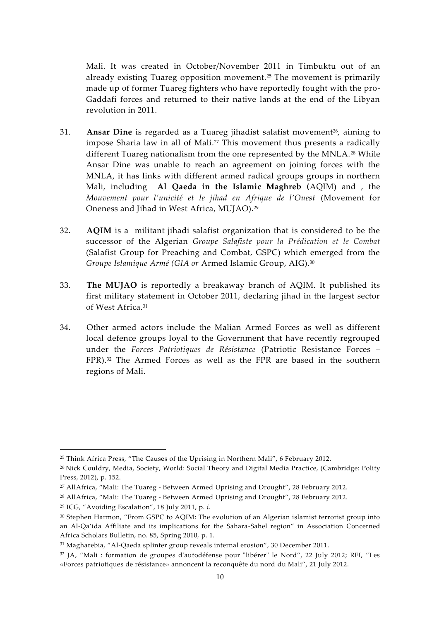Mali. It was created in October/November 2011 in Timbuktu out of an already existing Tuareg opposition movement.<sup>25</sup> The movement is primarily made up of former Tuareg fighters who have reportedly fought with the pro- Gaddafi forces and returned to their native lands at the end of the Libyan revolution in 2011.

- 31. **Ansar Dine** is regarded as a Tuareg jihadist salafist movement<sup>26</sup>, aiming to impose Sharia law in all of Mali.<sup>27</sup> This movement thus presents a radically different Tuareg nationalism from the one represented by the MNLA.<sup>28</sup> While Ansar Dine was unable to reach an agreement on joining forces with the MNLA, it has links with different armed radical groups groups in northern Mali, including **Al Qaeda in the Islamic Maghreb (**AQIM) and , the *Mouvement pour l'unicité et le jihad en Afrique de l'Ouest* (Movement for Oneness and Jihad in West Africa, MUJAO).<sup>29</sup>
- 32. **AQIM** is a militant jihadi salafist organization that is considered to be the successor of the Algerian *Groupe Salafiste pour la Prédication et le Combat* (Salafist Group for Preaching and Combat, GSPC) which emerged from the *Groupe Islamique Armé (GIA or* Armed Islamic Group, AIG).<sup>30</sup>
- 33. **The MUJAO** is reportedly a breakaway branch of AQIM. It published its first military statement in October 2011, declaring jihad in the largest sector of West Africa.<sup>31</sup>
- 34. Other armed actors include the Malian Armed Forces as well as different local defence groups loyal to the Government that have recently regrouped under the *Forces Patriotiques de Résistance* (Patriotic Resistance Forces – FPR).<sup>32</sup> The Armed Forces as well as the FPR are based in the southern regions of Mali.

<sup>25</sup> Think Africa Press, "The Causes of the Uprising in Northern Mali", 6 February 2012.

<sup>26</sup> Nick Couldry, Media, Society, World: Social Theory and Digital Media Practice, (Cambridge: Polity Press, 2012), p. 152.

<sup>27</sup> AllAfrica, "Mali: The Tuareg - Between Armed Uprising and Drought", 28 February 2012.

<sup>&</sup>lt;sup>28</sup> AllAfrica, "Mali: The Tuareg - Between Armed Uprising and Drought", 28 February 2012.

<sup>29</sup> ICG, "Avoiding Escalation", 18 July 2011, p. *i*.

<sup>30</sup> Stephen Harmon, "From GSPC to AQIM: The evolution of an Algerian islamist terrorist group into an Al-Qa'ida Affiliate and its implications for the Sahara-Sahel region" in Association Concerned Africa Scholars Bulletin, no. 85, Spring 2010, p. 1.

<sup>31</sup> Magharebia, "Al-Qaeda splinter group reveals internal erosion", 30 December 2011.

<sup>32</sup> JA, "Mali : formation de groupes d'autodéfense pour "libérer" le Nord", 22 July 2012; RFI, "Les «Forces patriotiques de résistance» annoncent la reconquête du nord du Mali", 21 July 2012.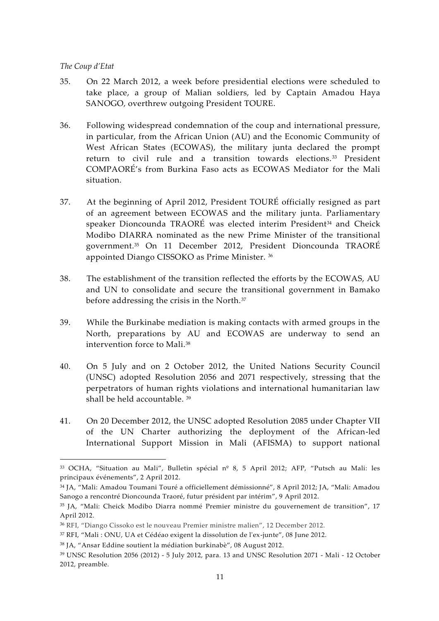#### *The Coup d'Etat*

- 35. On 22 March 2012, a week before presidential elections were scheduled to take place, a group of Malian soldiers, led by Captain Amadou Haya SANOGO, overthrew outgoing President TOURE.
- 36. Following widespread condemnation of the coup and international pressure, in particular, from the African Union (AU) and the Economic Community of West African States (ECOWAS), the military junta declared the prompt return to civil rule and a transition towards elections.<sup>33</sup> President COMPAORÉ's from Burkina Faso acts as ECOWAS Mediator for the Mali situation.
- 37. At the beginning of April 2012, President TOURÉ officially resigned as part of an agreement between ECOWAS and the military junta. Parliamentary speaker Dioncounda TRAORÉ was elected interim President<sup>34</sup> and Cheick Modibo DIARRA nominated as the new Prime Minister of the transitional government.<sup>35</sup> On 11 December 2012, President Dioncounda TRAORÉ appointed Diango CISSOKO as Prime Minister. <sup>36</sup>
- 38. The establishment of the transition reflected the efforts by the ECOWAS, AU and UN to consolidate and secure the transitional government in Bamako before addressing the crisis in the North.<sup>37</sup>
- 39. While the Burkinabe mediation is making contacts with armed groups in the North, preparations by AU and ECOWAS are underway to send an intervention force to Mali.<sup>38</sup>
- 40. On 5 July and on 2 October 2012, the United Nations Security Council (UNSC) adopted Resolution 2056 and 2071 respectively, stressing that the perpetrators of human rights violations and international humanitarian law shall be held accountable. <sup>39</sup>
- 41. On 20 December 2012, the UNSC adopted Resolution 2085 under Chapter VII of the UN Charter authorizing the deployment of the African-led International Support Mission in Mali (AFISMA) to support national

<sup>33</sup> OCHA, "Situation au Mali", Bulletin spécial nº 8, 5 April 2012; AFP, "Putsch au Mali: les principaux événements", 2 April 2012.

<sup>34</sup> JA, "Mali: Amadou Toumani Touré a officiellement démissionné", 8 April 2012; JA, "Mali: Amadou Sanogo a rencontré Dioncounda Traoré, futur président par intérim", 9 April 2012.

<sup>35</sup> JA, "Mali: Cheick Modibo Diarra nommé Premier ministre du gouvernement de transition", 17 April 2012.

<sup>36</sup> RFI, "Diango Cissoko est le nouveau Premier ministre malien", 12 December 2012.

<sup>37</sup> RFI, "Mali : ONU, UA et Cédéao exigent la dissolution de l'ex-junte", 08 June 2012.

<sup>38</sup> JA, "Ansar Eddine soutient la médiation burkinabè", 08 August 2012.

<sup>39</sup> UNSC Resolution 2056 (2012) - 5 July 2012, para. 13 and UNSC Resolution 2071 - Mali - 12 October 2012, preamble.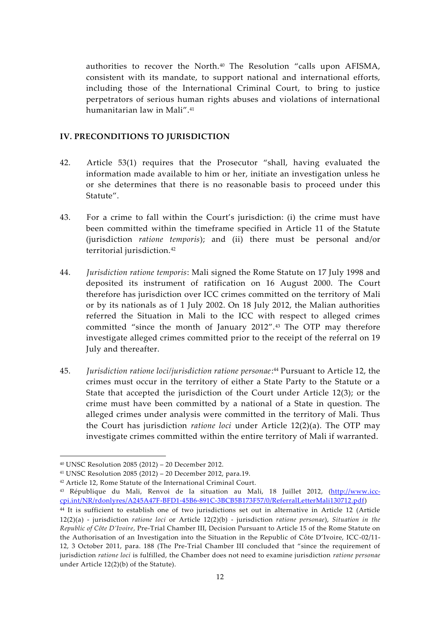authorities to recover the North.<sup>40</sup> The Resolution "calls upon AFISMA, consistent with its mandate, to support national and international efforts, including those of the International Criminal Court, to bring to justice perpetrators of serious human rights abuses and violations of international humanitarian law in Mali".<sup>41</sup>

#### **IV. PRECONDITIONS TO JURISDICTION**

- 42. Article 53(1) requires that the Prosecutor "shall, having evaluated the information made available to him or her, initiate an investigation unless he or she determines that there is no reasonable basis to proceed under this Statute".
- 43. For a crime to fall within the Court's jurisdiction: (i) the crime must have been committed within the timeframe specified in Article 11 of the Statute (jurisdiction *ratione temporis*); and (ii) there must be personal and/or territorial jurisdiction.<sup>42</sup>
- 44. *Jurisdiction ratione temporis*: Mali signed the Rome Statute on 17 July 1998 and deposited its instrument of ratification on 16 August 2000. The Court therefore has jurisdiction over ICC crimes committed on the territory of Mali or by its nationals as of 1 July 2002. On 18 July 2012, the Malian authorities referred the Situation in Mali to the ICC with respect to alleged crimes committed "since the month of January 2012".<sup>43</sup> The OTP may therefore investigate alleged crimes committed prior to the receipt of the referral on 19 July and thereafter.
- 45. *Jurisdiction ratione loci/jurisdiction ratione personae*:<sup>44</sup> Pursuant to Article 12, the crimes must occur in the territory of either a State Party to the Statute or a State that accepted the jurisdiction of the Court under Article 12(3); or the crime must have been committed by a national of a State in question. The alleged crimes under analysis were committed in the territory of Mali. Thus the Court has jurisdiction *ratione loci* under Article 12(2)(a). The OTP may investigate crimes committed within the entire territory of Mali if warranted.

<sup>40</sup> UNSC Resolution 2085 (2012) – 20 December 2012.

<sup>41</sup> UNSC Resolution 2085 (2012) – 20 December 2012, para.19.

<sup>42</sup> Article 12, Rome Statute of the International Criminal Court.

<sup>43</sup> République du Mali, Renvoi de la situation au Mali, 18 Juillet 2012, (http://www.icc cpi.int/NR/rdonlyres/A245A47F-BFD1-45B6-891C-3BCB5B173F57/0/ReferralLetterMali130712.pdf)

<sup>44</sup> It is sufficient to establish one of two jurisdictions set out in alternative in Article 12 (Article 12(2)(a) - jurisdiction *ratione loci* or Article 12(2)(b) - jurisdiction *ratione personae*), *Situation in the Republic of Côte D'Ivoire*, Pre-Trial Chamber III, Decision Pursuant to Article 15 of the Rome Statute on the Authorisation of an Investigation into the Situation in the Republic of Côte D'Ivoire, ICC-02/11- 12, 3 October 2011, para. 188 (The Pre-Trial Chamber III concluded that "since the requirement of jurisdiction *ratione loci* is fulfilled, the Chamber does not need to examine jurisdiction *ratione personae* under Article 12(2)(b) of the Statute).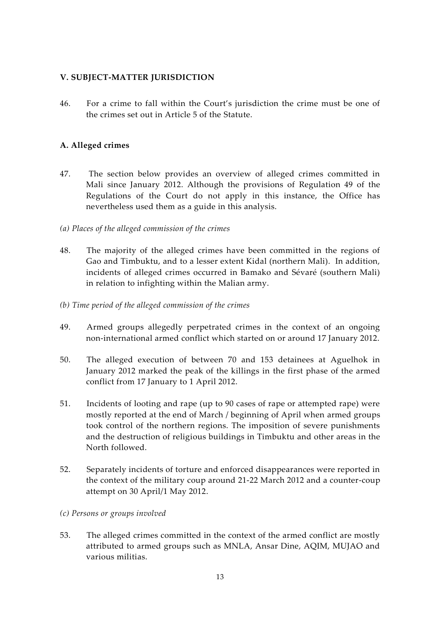## **V. SUBJECT-MATTER JURISDICTION**

46. For a crime to fall within the Court's jurisdiction the crime must be one of the crimes set out in Article 5 of the Statute.

#### **A. Alleged crimes**

- 47. The section below provides an overview of alleged crimes committed in Mali since January 2012. Although the provisions of Regulation 49 of the Regulations of the Court do not apply in this instance, the Office has nevertheless used them as a guide in this analysis.
- *(a) Places of the alleged commission of the crimes*
- 48. The majority of the alleged crimes have been committed in the regions of Gao and Timbuktu, and to a lesser extent Kidal (northern Mali). In addition, incidents of alleged crimes occurred in Bamako and Sévaré (southern Mali) in relation to infighting within the Malian army.
- *(b) Time period of the alleged commission of the crimes*
- 49. Armed groups allegedly perpetrated crimes in the context of an ongoing non-international armed conflict which started on or around 17 January 2012.
- 50. The alleged execution of between 70 and 153 detainees at Aguelhok in January 2012 marked the peak of the killings in the first phase of the armed conflict from 17 January to 1 April 2012.
- 51. Incidents of looting and rape (up to 90 cases of rape or attempted rape) were mostly reported at the end of March / beginning of April when armed groups took control of the northern regions. The imposition of severe punishments and the destruction of religious buildings in Timbuktu and other areas in the North followed.
- 52. Separately incidents of torture and enforced disappearances were reported in the context of the military coup around 21-22 March 2012 and a counter-coup attempt on 30 April/1 May 2012.
- *(c) Persons or groups involved*
- 53. The alleged crimes committed in the context of the armed conflict are mostly attributed to armed groups such as MNLA, Ansar Dine, AQIM, MUJAO and various militias.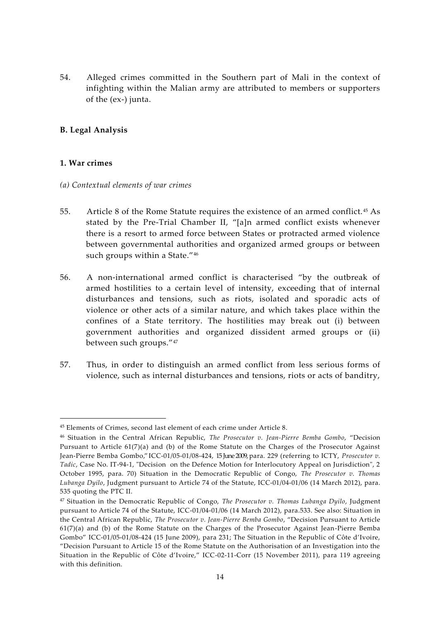54. Alleged crimes committed in the Southern part of Mali in the context of infighting within the Malian army are attributed to members or supporters of the (ex-) junta.

## **B. Legal Analysis**

#### **1. War crimes**

- *(a) Contextual elements of war crimes*
- 55. Article 8 of the Rome Statute requires the existence of an armed conflict.<sup>45</sup> As stated by the Pre-Trial Chamber II, "[a]n armed conflict exists whenever there is a resort to armed force between States or protracted armed violence between governmental authorities and organized armed groups or between such groups within a State."<sup>46</sup>
- 56. A non-international armed conflict is characterised "by the outbreak of armed hostilities to a certain level of intensity, exceeding that of internal disturbances and tensions, such as riots, isolated and sporadic acts of violence or other acts of a similar nature, and which takes place within the confines of a State territory. The hostilities may break out (i) between government authorities and organized dissident armed groups or (ii) between such groups."<sup>47</sup>
- 57. Thus, in order to distinguish an armed conflict from less serious forms of violence, such as internal disturbances and tensions, riots or acts of banditry,

<sup>45</sup> Elements of Crimes, second last element of each crime under Article 8.

<sup>46</sup> Situation in the Central African Republic, *The Prosecutor v. Jean-Pierre Bemba Gombo*, "Decision Pursuant to Article 61(7)(a) and (b) of the Rome Statute on the Charges of the Prosecutor Against Jean-Pierre Bemba Gombo," ICC-01/05-01/08-424, 15 June 2009,para. 229 (referring to ICTY, *Prosecutor v. Tadic*, Case No. IT-94-1, "Decision on the Defence Motion for Interlocutory Appeal on Jurisdiction", 2 October 1995, para. 70) Situation in the Democratic Republic of Congo, *The Prosecutor v. Thomas Lubanga Dyilo*, Judgment pursuant to Article 74 of the Statute, ICC-01/04-01/06 (14 March 2012), para. 535 quoting the PTC II.

<sup>47</sup> Situation in the Democratic Republic of Congo, *The Prosecutor v. Thomas Lubanga Dyilo*, Judgment pursuant to Article 74 of the Statute, ICC-01/04-01/06 (14 March 2012), para.533. See also: Situation in the Central African Republic, *The Prosecutor v. Jean-Pierre Bemba Gombo*, "Decision Pursuant to Article 61(7)(a) and (b) of the Rome Statute on the Charges of the Prosecutor Against Jean-Pierre Bemba Gombo" ICC-01/05-01/08-424 (15 June 2009), para 231; The Situation in the Republic of Côte d'Ivoire, "Decision Pursuant to Article 15 of the Rome Statute on the Authorisation of an Investigation into the Situation in the Republic of Côte d'Ivoire," ICC-02-11-Corr (15 November 2011), para 119 agreeing with this definition.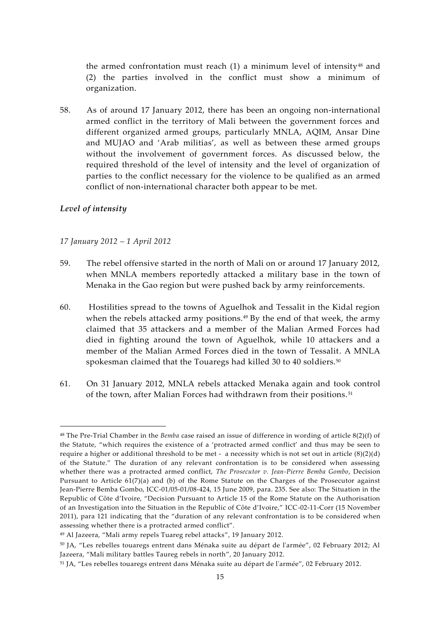the armed confrontation must reach  $(1)$  a minimum level of intensity<sup>48</sup> and (2) the parties involved in the conflict must show a minimum of organization.

58. As of around 17 January 2012, there has been an ongoing non-international armed conflict in the territory of Mali between the government forces and different organized armed groups, particularly MNLA, AQIM, Ansar Dine and MUJAO and 'Arab militias', as well as between these armed groups without the involvement of government forces. As discussed below, the required threshold of the level of intensity and the level of organization of parties to the conflict necessary for the violence to be qualified as an armed conflict of non-international character both appear to be met.

#### *Level of intensity*

#### *17 January 2012 – 1 April 2012*

- 59. The rebel offensive started in the north of Mali on or around 17 January 2012, when MNLA members reportedly attacked a military base in the town of Menaka in the Gao region but were pushed back by army reinforcements.
- 60. Hostilities spread to the towns of Aguelhok and Tessalit in the Kidal region when the rebels attacked army positions. $49$  By the end of that week, the army claimed that 35 attackers and a member of the Malian Armed Forces had died in fighting around the town of Aguelhok, while 10 attackers and a member of the Malian Armed Forces died in the town of Tessalit. A MNLA spokesman claimed that the Touaregs had killed  $30$  to  $40$  soldiers.<sup>50</sup>
- 61. On 31 January 2012, MNLA rebels attacked Menaka again and took control of the town, after Malian Forces had withdrawn from their positions. <sup>51</sup>

<sup>48</sup> The Pre-Trial Chamber in the *Bemba* case raised an issue of difference in wording of article 8(2)(f) of the Statute, "which requires the existence of a 'protracted armed conflict' and thus may be seen to require a higher or additional threshold to be met - a necessity which is not set out in article  $(8)(2)(d)$ of the Statute." The duration of any relevant confrontation is to be considered when assessing whether there was a protracted armed conflict, *The Prosecutor v. Jean-Pierre Bemba Gombo*, Decision Pursuant to Article 61(7)(a) and (b) of the Rome Statute on the Charges of the Prosecutor against Jean-Pierre Bemba Gombo, ICC-01/05-01/08-424, 15 June 2009, para. 235. See also: The Situation in the Republic of Côte d'Ivoire, "Decision Pursuant to Article 15 of the Rome Statute on the Authorisation of an Investigation into the Situation in the Republic of Côte d'Ivoire," ICC-02-11-Corr (15 November 2011), para 121 indicating that the "duration of any relevant confrontation is to be considered when assessing whether there is a protracted armed conflict".

<sup>49</sup> Al Jazeera, "Mali army repels Tuareg rebel attacks", 19 January 2012.

<sup>50</sup> JA, "Les rebelles touaregs entrent dans Ménaka suite au départ de l'armée", 02 February 2012; Al Jazeera, "Mali military battles Taureg rebels in north", 20 January 2012.

<sup>51</sup> JA, "Les rebelles touaregs entrent dans Ménaka suite au départ de l'armée", 02 February 2012.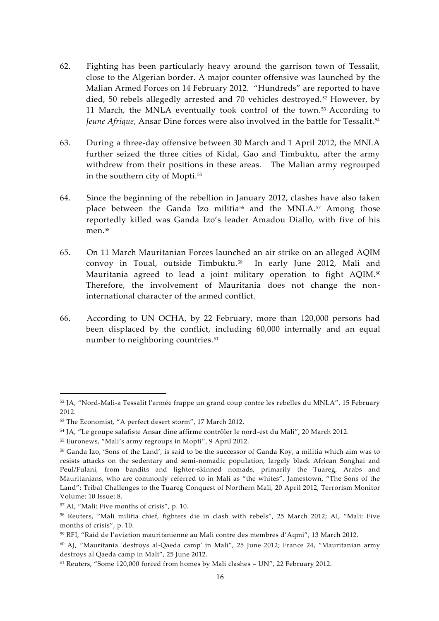- 62. Fighting has been particularly heavy around the garrison town of Tessalit, close to the Algerian border. A major counter offensive was launched by the Malian Armed Forces on 14 February 2012. "Hundreds" are reported to have died, 50 rebels allegedly arrested and 70 vehicles destroyed.<sup>52</sup> However, by 11 March, the MNLA eventually took control of the town.<sup>53</sup> According to *Jeune Afrique*, Ansar Dine forces were also involved in the battle for Tessalit. <sup>54</sup>
- 63. During a three-day offensive between 30 March and 1 April 2012, the MNLA further seized the three cities of Kidal, Gao and Timbuktu, after the army withdrew from their positions in these areas. The Malian army regrouped in the southern city of Mopti.<sup>55</sup>
- 64. Since the beginning of the rebellion in January 2012, clashes have also taken place between the Ganda Izo militia<sup>56</sup> and the MNLA.<sup>57</sup> Among those reportedly killed was Ganda Izo's leader Amadou Diallo, with five of his men<sup>58</sup>
- 65. On 11 March Mauritanian Forces launched an air strike on an alleged AQIM convoy in Toual, outside Timbuktu.<sup>59</sup> In early June 2012, Mali and Mauritania agreed to lead a joint military operation to fight AQIM.<sup>60</sup> Therefore, the involvement of Mauritania does not change the noninternational character of the armed conflict.
- 66. According to UN OCHA, by 22 February, more than 120,000 persons had been displaced by the conflict, including 60,000 internally and an equal number to neighboring countries.<sup>61</sup>

<sup>52</sup> JA, "Nord-Mali-a Tessalit l'armée frappe un grand coup contre les rebelles du MNLA", 15 February 2012.

<sup>53</sup> The Economist, "A perfect desert storm", 17 March 2012.

<sup>54</sup> JA, "Le groupe salafiste Ansar dine affirme contrôler le nord-est du Mali", 20 March 2012.

<sup>55</sup> Euronews, "Mali's army regroups in Mopti", 9 April 2012.

<sup>56</sup> Ganda Izo, 'Sons of the Land', is said to be the successor of Ganda Koy, a militia which aim was to resists attacks on the sedentary and semi-nomadic population, largely black African Songhai and Peul/Fulani, from bandits and lighter-skinned nomads, primarily the Tuareg, Arabs and Mauritanians, who are commonly referred to in Mali as "the whites", Jamestown, "The Sons of the Land": Tribal Challenges to the Tuareg Conquest of Northern Mali, 20 April 2012, Terrorism Monitor Volume: 10 Issue: 8.

<sup>57</sup> AI, "Mali: Five months of crisis", p. 10.

<sup>58</sup> Reuters, "Mali militia chief, fighters die in clash with rebels", 25 March 2012; AI, "Mali: Five months of crisis", p. 10.

<sup>59</sup> RFI, "Raid de l'aviation mauritanienne au Mali contre des membres d'Aqmi", 13 March 2012.

<sup>60</sup> AJ, "Mauritania 'destroys al-Qaeda camp' in Mali", 25 June 2012; France 24, "Mauritanian army destroys al Qaeda camp in Mali", 25 June 2012.

<sup>61</sup> Reuters, "Some 120,000 forced from homes by Mali clashes – UN", 22 February 2012.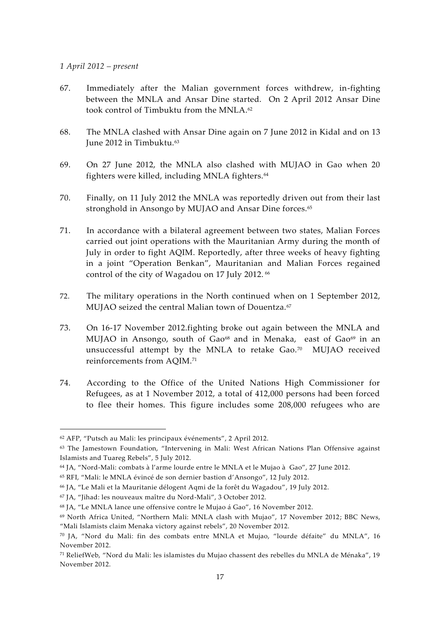#### *1 April 2012 – present*

- 67. Immediately after the Malian government forces withdrew, in-fighting between the MNLA and Ansar Dine started. On 2 April 2012 Ansar Dine took control of Timbuktu from the MNLA.<sup>62</sup>
- 68. The MNLA clashed with Ansar Dine again on 7 June 2012 in Kidal and on 13 June 2012 in Timbuktu.<sup>63</sup>
- 69. On 27 June 2012, the MNLA also clashed with MUJAO in Gao when 20 fighters were killed, including MNLA fighters.<sup>64</sup>
- 70. Finally, on 11 July 2012 the MNLA was reportedly driven out from their last stronghold in Ansongo by MUJAO and Ansar Dine forces.<sup>65</sup>
- 71. In accordance with a bilateral agreement between two states, Malian Forces carried out joint operations with the Mauritanian Army during the month of July in order to fight AQIM. Reportedly, after three weeks of heavy fighting in a joint "Operation Benkan", Mauritanian and Malian Forces regained control of the city of Wagadou on 17 July 2012.<sup>66</sup>
- 72. The military operations in the North continued when on 1 September 2012, MUIAO seized the central Malian town of Douentza.<sup>67</sup>
- 73. On 16-17 November 2012.fighting broke out again between the MNLA and MUJAO in Ansongo, south of Gao<sup>68</sup> and in Menaka, east of Gao<sup>69</sup> in an unsuccessful attempt by the MNLA to retake Gao.<sup>70</sup> MUJAO received reinforcements from AQIM.<sup>71</sup>
- 74. According to the Office of the United Nations High Commissioner for Refugees, as at 1 November 2012, a total of 412,000 persons had been forced to flee their homes. This figure includes some 208,000 refugees who are

<sup>62</sup> AFP, "Putsch au Mali: les principaux événements", 2 April 2012.

<sup>63</sup> The Jamestown Foundation, "Intervening in Mali: West African Nations Plan Offensive against Islamists and Tuareg Rebels", 5 July 2012.

<sup>64</sup> JA, "Nord-Mali: combats à l'arme lourde entre le MNLA et le Mujao à Gao", 27 June 2012.

<sup>65</sup> RFI, "Mali: le MNLA évincé de son dernier bastion d'Ansongo", 12 July 2012.

<sup>66</sup> JA, "Le Mali et la Mauritanie délogent Aqmi de la forêt du Wagadou", 19 July 2012.

<sup>67</sup> JA, "Jihad: les nouveaux maître du Nord-Mali", 3 October 2012.

<sup>68</sup> JA, "Le MNLA lance une offensive contre le Mujao á Gao", 16 November 2012.

<sup>69</sup> North Africa United, "Northern Mali: MNLA clash with Mujao", 17 November 2012; BBC News, "Mali Islamists claim Menaka victory against rebels", 20 November 2012.

<sup>70</sup> JA, "Nord du Mali: fin des combats entre MNLA et Mujao, "lourde défaite" du MNLA", 16 November 2012.

<sup>71</sup> ReliefWeb, "Nord du Mali: les islamistes du Mujao chassent des rebelles du MNLA de Ménaka", 19 November 2012.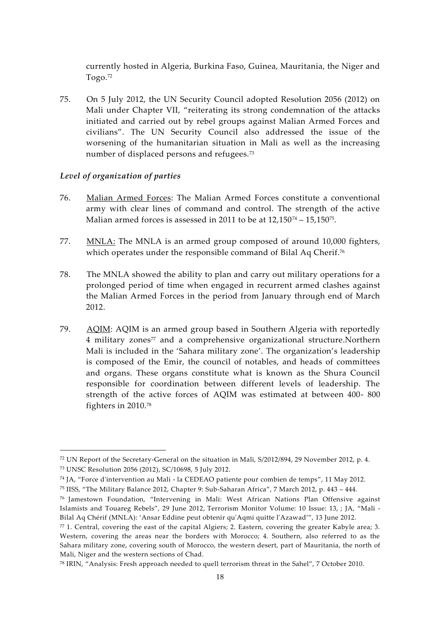currently hosted in Algeria, Burkina Faso, Guinea, Mauritania, the Niger and Togo.<sup>72</sup>

75. On 5 July 2012, the UN Security Council adopted Resolution 2056 (2012) on Mali under Chapter VII, "reiterating its strong condemnation of the attacks initiated and carried out by rebel groups against Malian Armed Forces and civilians". The UN Security Council also addressed the issue of the worsening of the humanitarian situation in Mali as well as the increasing number of displaced persons and refugees.<sup>73</sup>

#### *Level of organization of parties*

- 76. Malian Armed Forces: The Malian Armed Forces constitute a conventional army with clear lines of command and control. The strength of the active Malian armed forces is assessed in 2011 to be at 12,150<sup>74</sup> – 15,150<sup>75</sup> .
- 77. MNLA: The MNLA is an armed group composed of around 10,000 fighters, which operates under the responsible command of Bilal Aq Cherif.<sup>76</sup>
- 78. The MNLA showed the ability to plan and carry out military operations for a prolonged period of time when engaged in recurrent armed clashes against the Malian Armed Forces in the period from January through end of March 2012.
- 79. AQIM: AQIM is an armed group based in Southern Algeria with reportedly 4 military zones<sup>77</sup> and a comprehensive organizational structure.Northern Mali is included in the 'Sahara military zone'. The organization's leadership is composed of the Emir, the council of notables, and heads of committees and organs. These organs constitute what is known as the Shura Council responsible for coordination between different levels of leadership. The strength of the active forces of AQIM was estimated at between 400- 800 fighters in 2010.<sup>78</sup>

<sup>72</sup> UN Report of the Secretary-General on the situation in Mali, S/2012/894, 29 November 2012, p. 4. <sup>73</sup> UNSC Resolution 2056 (2012), SC/10698, 5 July 2012.

<sup>74</sup> JA, "Force d'intervention au Mali - la CEDEAO patiente pour combien de temps", 11 May 2012.

<sup>75</sup> IISS, "The Military Balance 2012, Chapter 9: Sub-Saharan Africa", 7 March 2012, p. 443 – 444.

<sup>76</sup> Jamestown Foundation, "Intervening in Mali: West African Nations Plan Offensive against Islamists and Touareg Rebels", 29 June 2012, Terrorism Monitor Volume: 10 Issue: 13, ; JA, "Mali - Bilal Aq Chérif (MNLA): 'Ansar Eddine peut obtenir qu'Aqmi quitte l'Azawad'", 13 June 2012.

 $77$  1. Central, covering the east of the capital Algiers; 2. Eastern, covering the greater Kabyle area; 3. Western, covering the areas near the borders with Morocco; 4. Southern, also referred to as the Sahara military zone, covering south of Morocco, the western desert, part of Mauritania, the north of Mali, Niger and the western sections of Chad.

<sup>78</sup> IRIN, "Analysis: Fresh approach needed to quell terrorism threat in the Sahel", 7 October 2010.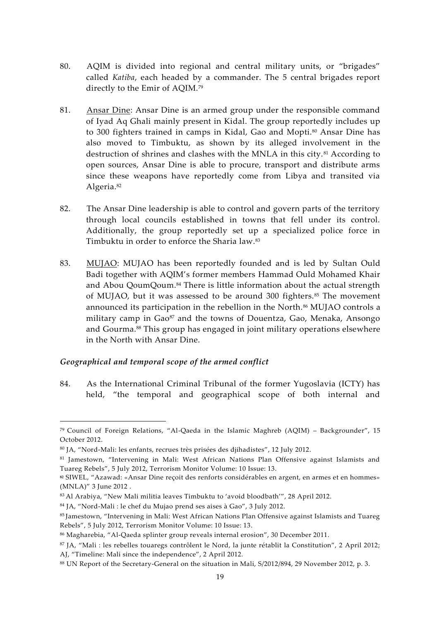- 80. AQIM is divided into regional and central military units, or "brigades" called *Katiba*, each headed by a commander. The 5 central brigades report directly to the Emir of AQIM.<sup>79</sup>
- 81. Ansar Dine: Ansar Dine is an armed group under the responsible command of Iyad Aq Ghali mainly present in Kidal. The group reportedly includes up to 300 fighters trained in camps in Kidal, Gao and Mopti.<sup>80</sup> Ansar Dine has also moved to Timbuktu, as shown by its alleged involvement in the destruction of shrines and clashes with the MNLA in this city.<sup>81</sup> According to open sources, Ansar Dine is able to procure, transport and distribute arms since these weapons have reportedly come from Libya and transited via Algeria.<sup>82</sup>
- 82. The Ansar Dine leadership is able to control and govern parts of the territory through local councils established in towns that fell under its control. Additionally, the group reportedly set up a specialized police force in Timbuktu in order to enforce the Sharia law.<sup>83</sup>
- 83. MUJAO: MUJAO has been reportedly founded and is led by Sultan Ould Badi together with AQIM's former members Hammad Ould Mohamed Khair and Abou QoumQoum.<sup>84</sup> There is little information about the actual strength of MUJAO, but it was assessed to be around 300 fighters. $85$  The movement announced its participation in the rebellion in the North.<sup>86</sup> MUJAO controls a military camp in Gao<sup>87</sup> and the towns of Douentza, Gao, Menaka, Ansongo and Gourma.<sup>88</sup> This group has engaged in joint military operations elsewhere in the North with Ansar Dine.

#### *Geographical and temporal scope of the armed conflict*

84. As the International Criminal Tribunal of the former Yugoslavia (ICTY) has held, "the temporal and geographical scope of both internal and

<sup>&</sup>lt;sup>79</sup> Council of Foreign Relations, "Al-Qaeda in the Islamic Maghreb (AQIM) – Backgrounder", 15 October 2012.

<sup>80</sup> JA, "Nord-Mali: les enfants, recrues très prisées des djihadistes", 12 July 2012.

<sup>81</sup> Jamestown, "Intervening in Mali: West African Nations Plan Offensive against Islamists and Tuareg Rebels", 5 July 2012, Terrorism Monitor Volume: 10 Issue: 13.

**<sup>82</sup>** SIWEL, "Azawad: «Ansar Dine reçoit des renforts considérables en argent, en armes et en hommes» (MNLA)" 3 June 2012 .

<sup>83</sup> Al Arabiya, "New Mali militia leaves Timbuktu to 'avoid bloodbath'", 28 April 2012.

<sup>84</sup> JA, "Nord-Mali : le chef du Mujao prend ses aises à Gao", 3 July 2012.

<sup>85</sup> Jamestown, "Intervening in Mali: West African Nations Plan Offensive against Islamists and Tuareg Rebels", 5 July 2012, Terrorism Monitor Volume: 10 Issue: 13.

<sup>86</sup> Magharebia, "Al-Qaeda splinter group reveals internal erosion", 30 December 2011.

<sup>87</sup> JA, "Mali : les rebelles touaregs contrôlent le Nord, la junte rétablit la Constitution", 2 April 2012; AJ, "Timeline: Mali since the independence", 2 April 2012.

<sup>88</sup> UN Report of the Secretary-General on the situation in Mali, S/2012/894, 29 November 2012, p. 3.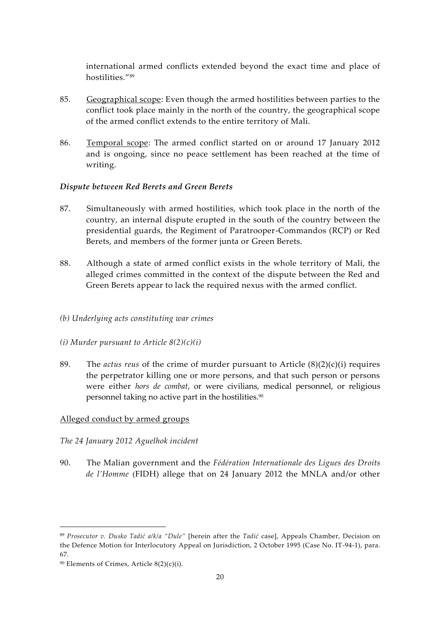international armed conflicts extended beyond the exact time and place of hostilities."<sup>89</sup>

- 85. Geographical scope: Even though the armed hostilities between parties to the conflict took place mainly in the north of the country, the geographical scope of the armed conflict extends to the entire territory of Mali.
- 86. Temporal scope: The armed conflict started on or around 17 January 2012 and is ongoing, since no peace settlement has been reached at the time of writing.

#### *Dispute between Red Berets and Green Berets*

- 87. Simultaneously with armed hostilities, which took place in the north of the country, an internal dispute erupted in the south of the country between the presidential guards, the Regiment of Paratrooper-Commandos (RCP) or Red Berets, and members of the former junta or Green Berets.
- 88. Although a state of armed conflict exists in the whole territory of Mali, the alleged crimes committed in the context of the dispute between the Red and Green Berets appear to lack the required nexus with the armed conflict.
- *(b) Underlying acts constituting war crimes*
- *(i) Murder pursuant to Article 8(2)(c)(i)*
- 89. The *actus reus* of the crime of murder pursuant to Article (8)(2)(c)(i) requires the perpetrator killing one or more persons, and that such person or persons were either *hors de combat*, or were civilians, medical personnel, or religious personnel taking no active part in the hostilities.<sup>90</sup>

## Alleged conduct by armed groups

- *The 24 January 2012 Aguelhok incident*
- 90. The Malian government and the *Fédération Internationale des Ligues des Droits de l'Homme* (FIDH) allege that on 24 January 2012 the MNLA and/or other

<sup>89</sup> *Prosecutor v. Dusko Tadić a/k/a "Dule"* [herein after the *Tadić* case], Appeals Chamber, Decision on the Defence Motion for Interlocutory Appeal on Jurisdiction, 2 October 1995 (Case No. IT-94-1), para. 67.

 $90$  Elements of Crimes, Article  $8(2)(c)(i)$ .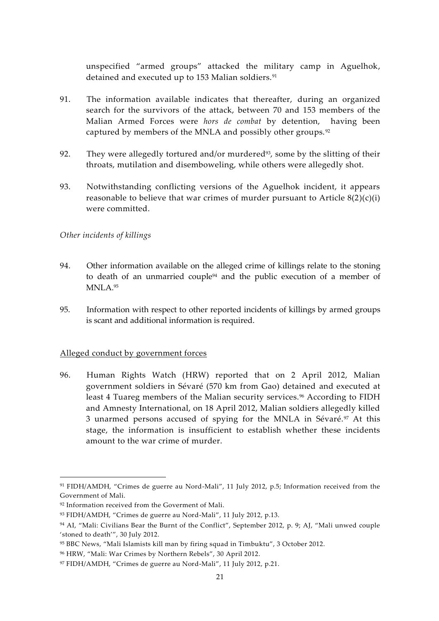unspecified "armed groups" attacked the military camp in Aguelhok, detained and executed up to 153 Malian soldiers.<sup>91</sup>

- 91. The information available indicates that thereafter, during an organized search for the survivors of the attack, between 70 and 153 members of the Malian Armed Forces were *hors de combat* by detention, having been captured by members of the MNLA and possibly other groups.<sup>92</sup>
- 92. They were allegedly tortured and/or murdered<sup>93</sup>, some by the slitting of their throats, mutilation and disemboweling, while others were allegedly shot.
- 93. Notwithstanding conflicting versions of the Aguelhok incident, it appears reasonable to believe that war crimes of murder pursuant to Article  $8(2)(c)(i)$ were committed.

#### *Other incidents of killings*

- 94. Other information available on the alleged crime of killings relate to the stoning to death of an unmarried couple<sup>94</sup> and the public execution of a member of MNLA.<sup>95</sup>
- 95. Information with respect to other reported incidents of killings by armed groups is scant and additional information is required.

#### Alleged conduct by government forces

96. Human Rights Watch (HRW) reported that on 2 April 2012, Malian government soldiers in Sévaré (570 km from Gao) detained and executed at least 4 Tuareg members of the Malian security services.<sup>96</sup> According to FIDH and Amnesty International, on 18 April 2012, Malian soldiers allegedly killed 3 unarmed persons accused of spying for the MNLA in Sévaré.<sup>97</sup> At this stage, the information is insufficient to establish whether these incidents amount to the war crime of murder.

<sup>91</sup> FIDH/AMDH, "Crimes de guerre au Nord-Mali", 11 July 2012, p.5; Information received from the Government of Mali.

<sup>&</sup>lt;sup>92</sup> Information received from the Goverment of Mali.

<sup>93</sup> FIDH/AMDH, "Crimes de guerre au Nord-Mali", 11 July 2012, p.13.

<sup>&</sup>lt;sup>94</sup> AI, "Mali: Civilians Bear the Burnt of the Conflict", September 2012, p. 9; AJ, "Mali unwed couple 'stoned to death'", 30 July 2012.

<sup>95</sup> BBC News, "Mali Islamists kill man by firing squad in Timbuktu", 3 October 2012.

<sup>96</sup> HRW, "Mali: War Crimes by Northern Rebels", 30 April 2012.

<sup>97</sup> FIDH/AMDH, "Crimes de guerre au Nord-Mali", 11 July 2012, p.21.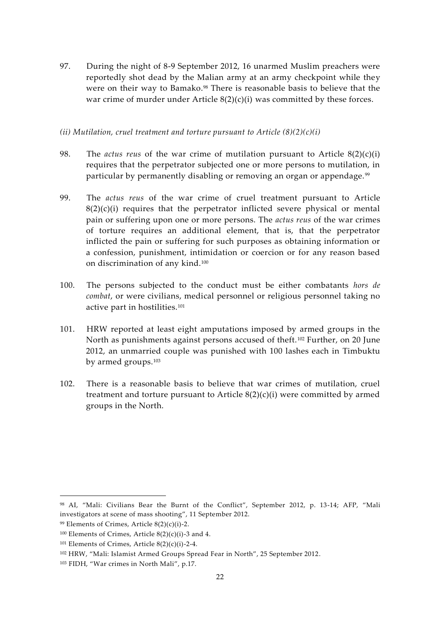97. During the night of 8-9 September 2012, 16 unarmed Muslim preachers were reportedly shot dead by the Malian army at an army checkpoint while they were on their way to Bamako.<sup>98</sup> There is reasonable basis to believe that the war crime of murder under Article  $8(2)(c)(i)$  was committed by these forces.

#### *(ii) Mutilation, cruel treatment and torture pursuant to Article (8)(2)(c)(i)*

- 98. The *actus reus* of the war crime of mutilation pursuant to Article 8(2)(c)(i) requires that the perpetrator subjected one or more persons to mutilation, in particular by permanently disabling or removing an organ or appendage. <sup>99</sup>
- 99. The *actus reus* of the war crime of cruel treatment pursuant to Article  $8(2)(c)(i)$  requires that the perpetrator inflicted severe physical or mental pain or suffering upon one or more persons. The *actus reus* of the war crimes of torture requires an additional element, that is, that the perpetrator inflicted the pain or suffering for such purposes as obtaining information or a confession, punishment, intimidation or coercion or for any reason based on discrimination of any kind.<sup>100</sup>
- 100. The persons subjected to the conduct must be either combatants *hors de combat*, or were civilians, medical personnel or religious personnel taking no active part in hostilities.<sup>101</sup>
- 101. HRW reported at least eight amputations imposed by armed groups in the North as punishments against persons accused of theft.<sup>102</sup> Further, on 20 June 2012, an unmarried couple was punished with 100 lashes each in Timbuktu by armed groups.<sup>103</sup>
- 102. There is a reasonable basis to believe that war crimes of mutilation, cruel treatment and torture pursuant to Article 8(2)(c)(i) were committed by armed groups in the North.

<sup>98</sup> AI, "Mali: Civilians Bear the Burnt of the Conflict", September 2012, p. 13-14; AFP, "Mali investigators at scene of mass shooting", 11 September 2012.

<sup>&</sup>lt;sup>99</sup> Elements of Crimes, Article  $8(2)(c)(i)$ -2.

 $100$  Elements of Crimes, Article  $8(2)(c)(i)$ -3 and 4.

 $101$  Elements of Crimes, Article  $8(2)(c)(i)$ -2-4.

<sup>102</sup> HRW, "Mali: Islamist Armed Groups Spread Fear in North", 25 September 2012.

<sup>103</sup> FIDH, "War crimes in North Mali", p.17.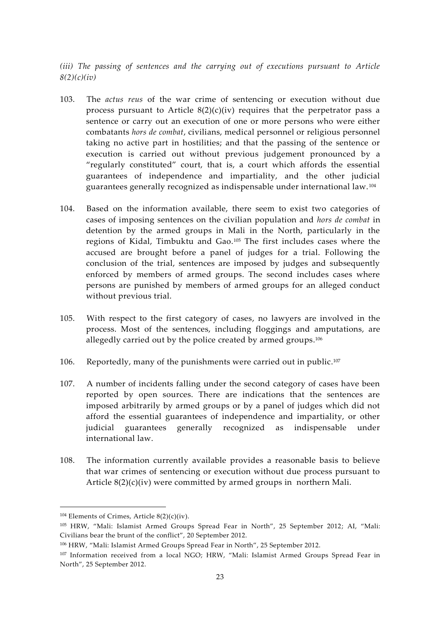*(iii) The passing of sentences and the carrying out of executions pursuant to Article 8(2)(c)(iv)*

- 103. The *actus reus* of the war crime of sentencing or execution without due process pursuant to Article  $8(2)(c)(iv)$  requires that the perpetrator pass a sentence or carry out an execution of one or more persons who were either combatants *hors de combat*, civilians, medical personnel or religious personnel taking no active part in hostilities; and that the passing of the sentence or execution is carried out without previous judgement pronounced by a "regularly constituted" court, that is, a court which affords the essential guarantees of independence and impartiality, and the other judicial guarantees generally recognized as indispensable under international law. <sup>104</sup>
- 104. Based on the information available, there seem to exist two categories of cases of imposing sentences on the civilian population and *hors de combat* in detention by the armed groups in Mali in the North, particularly in the regions of Kidal, Timbuktu and Gao.<sup>105</sup> The first includes cases where the accused are brought before a panel of judges for a trial. Following the conclusion of the trial, sentences are imposed by judges and subsequently enforced by members of armed groups. The second includes cases where persons are punished by members of armed groups for an alleged conduct without previous trial.
- 105. With respect to the first category of cases, no lawyers are involved in the process. Most of the sentences, including floggings and amputations, are allegedly carried out by the police created by armed groups.<sup>106</sup>
- 106. Reportedly, many of the punishments were carried out in public.<sup>107</sup>
- 107. A number of incidents falling under the second category of cases have been reported by open sources. There are indications that the sentences are imposed arbitrarily by armed groups or by a panel of judges which did not afford the essential guarantees of independence and impartiality, or other judicial guarantees generally recognized as indispensable under international law.
- 108. The information currently available provides a reasonable basis to believe that war crimes of sentencing or execution without due process pursuant to Article  $8(2)(c)(iv)$  were committed by armed groups in northern Mali.

 $104$  Elements of Crimes, Article  $8(2)(c)(iv)$ .

<sup>105</sup> HRW, "Mali: Islamist Armed Groups Spread Fear in North", 25 September 2012; AI, "Mali: Civilians bear the brunt of the conflict", 20 September 2012.

<sup>106</sup> HRW, "Mali: Islamist Armed Groups Spread Fear in North", 25 September 2012.

<sup>107</sup> Information received from a local NGO; HRW, "Mali: Islamist Armed Groups Spread Fear in North", 25 September 2012.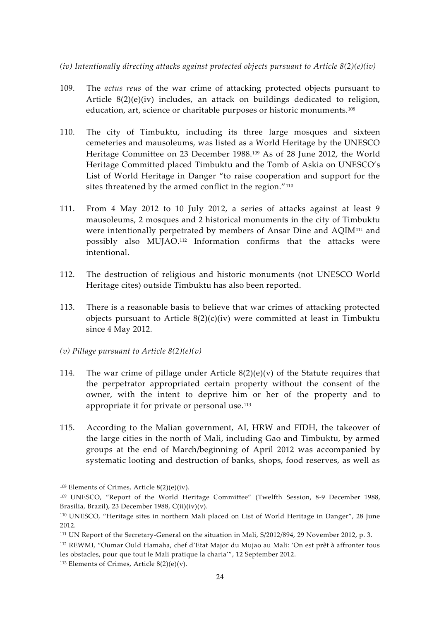- *(iv) Intentionally directing attacks against protected objects pursuant to Article 8(2)(e)(iv)*
- 109. The *actus reus* of the war crime of attacking protected objects pursuant to Article 8(2)(e)(iv) includes, an attack on buildings dedicated to religion, education, art, science or charitable purposes or historic monuments.<sup>108</sup>
- 110. The city of Timbuktu, including its three large mosques and sixteen cemeteries and mausoleums, was listed as a World Heritage by the UNESCO Heritage Committee on 23 December 1988.<sup>109</sup> As of 28 June 2012, the World Heritage Committed placed Timbuktu and the Tomb of Askia on UNESCO's List of World Heritage in Danger "to raise cooperation and support for the sites threatened by the armed conflict in the region."<sup>110</sup>
- 111. From 4 May 2012 to 10 July 2012, a series of attacks against at least 9 mausoleums, 2 mosques and 2 historical monuments in the city of Timbuktu were intentionally perpetrated by members of Ansar Dine and AQIM<sup>111</sup> and possibly also MUJAO.<sup>112</sup> Information confirms that the attacks were intentional.
- 112. The destruction of religious and historic monuments (not UNESCO World Heritage cites) outside Timbuktu has also been reported.
- 113. There is a reasonable basis to believe that war crimes of attacking protected objects pursuant to Article 8(2)(c)(iv) were committed at least in Timbuktu since 4 May 2012.
- *(v) Pillage pursuant to Article 8(2)(e)(v)*
- 114. The war crime of pillage under Article  $8(2)(e)(v)$  of the Statute requires that the perpetrator appropriated certain property without the consent of the owner, with the intent to deprive him or her of the property and to appropriate it for private or personal use.<sup>113</sup>
- 115. According to the Malian government, AI, HRW and FIDH, the takeover of the large cities in the north of Mali, including Gao and Timbuktu, by armed groups at the end of March/beginning of April 2012 was accompanied by systematic looting and destruction of banks, shops, food reserves, as well as

 $108$  Elements of Crimes, Article  $8(2)(e)(iv)$ .

<sup>109</sup> UNESCO, "Report of the World Heritage Committee" (Twelfth Session, 8-9 December 1988, Brasilia, Brazil), 23 December 1988, C(ii)(iv)(v).

<sup>110</sup> UNESCO, "Heritage sites in northern Mali placed on List of World Heritage in Danger", 28 June 2012.

<sup>111</sup> UN Report of the Secretary-General on the situation in Mali, S/2012/894, 29 November 2012, p. 3.

<sup>112</sup> REWMI, "Oumar Ould Hamaha, chef d'Etat Major du Mujao au Mali: 'On est prêt à affronter tous les obstacles, pour que tout le Mali pratique la charia'", 12 September 2012.

<sup>&</sup>lt;sup>113</sup> Elements of Crimes, Article  $8(2)(e)(v)$ .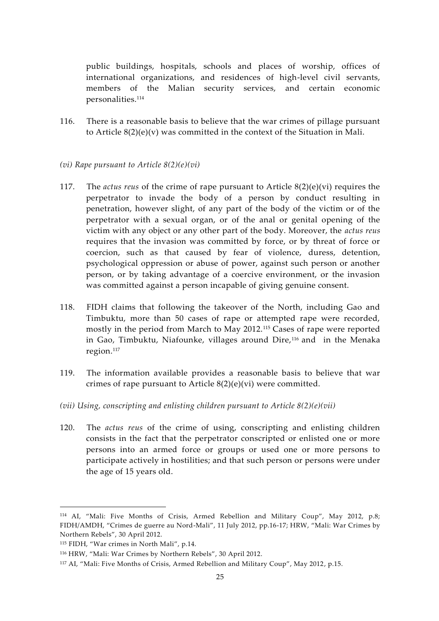public buildings, hospitals, schools and places of worship, offices of international organizations, and residences of high-level civil servants, members of the Malian security services, and certain economic personalities.<sup>114</sup>

116. There is a reasonable basis to believe that the war crimes of pillage pursuant to Article  $8(2)(e)(v)$  was committed in the context of the Situation in Mali.

#### *(vi) Rape pursuant to Article 8(2)(e)(vi)*

- 117. The *actus reus* of the crime of rape pursuant to Article 8(2)(e)(vi) requires the perpetrator to invade the body of a person by conduct resulting in penetration, however slight, of any part of the body of the victim or of the perpetrator with a sexual organ, or of the anal or genital opening of the victim with any object or any other part of the body. Moreover, the *actus reus* requires that the invasion was committed by force, or by threat of force or coercion, such as that caused by fear of violence, duress, detention, psychological oppression or abuse of power, against such person or another person, or by taking advantage of a coercive environment, or the invasion was committed against a person incapable of giving genuine consent.
- 118. FIDH claims that following the takeover of the North, including Gao and Timbuktu, more than 50 cases of rape or attempted rape were recorded, mostly in the period from March to May 2012.<sup>115</sup> Cases of rape were reported in Gao, Timbuktu, Niafounke, villages around Dire,<sup>116</sup> and in the Menaka region.<sup>117</sup>
- 119. The information available provides a reasonable basis to believe that war crimes of rape pursuant to Article 8(2)(e)(vi) were committed.
- *(vii) Using, conscripting and enlisting children pursuant to Article 8(2)(e)(vii)*
- 120. The *actus reus* of the crime of using, conscripting and enlisting children consists in the fact that the perpetrator conscripted or enlisted one or more persons into an armed force or groups or used one or more persons to participate actively in hostilities; and that such person or persons were under the age of 15 years old.

<sup>114</sup> AI, "Mali: Five Months of Crisis, Armed Rebellion and Military Coup", May 2012, p.8; FIDH/AMDH, "Crimes de guerre au Nord-Mali", 11 July 2012, pp.16-17; HRW, "Mali: War Crimes by Northern Rebels", 30 April 2012.

<sup>115</sup> FIDH, "War crimes in North Mali", p.14.

<sup>116</sup> HRW, "Mali: War Crimes by Northern Rebels", 30 April 2012.

<sup>117</sup> AI, "Mali: Five Months of Crisis, Armed Rebellion and Military Coup", May 2012, p.15.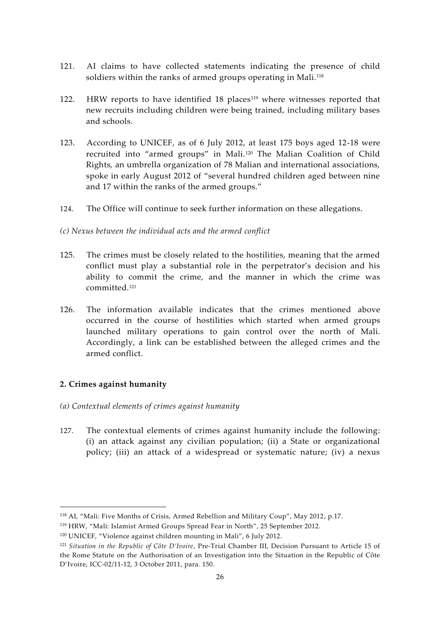- 121. AI claims to have collected statements indicating the presence of child soldiers within the ranks of armed groups operating in Mali.<sup>118</sup>
- 122. HRW reports to have identified 18 places<sup>119</sup> where witnesses reported that new recruits including children were being trained, including military bases and schools.
- 123. According to UNICEF, as of 6 July 2012, at least 175 boys aged 12-18 were recruited into "armed groups" in Mali.<sup>120</sup> The Malian Coalition of Child Rights, an umbrella organization of 78 Malian and international associations, spoke in early August 2012 of "several hundred children aged between nine and 17 within the ranks of the armed groups."
- 124. The Office will continue to seek further information on these allegations.

*(c) Nexus between the individual acts and the armed conflict*

- 125. The crimes must be closely related to the hostilities, meaning that the armed conflict must play a substantial role in the perpetrator's decision and his ability to commit the crime, and the manner in which the crime was committed.<sup>121</sup>
- 126. The information available indicates that the crimes mentioned above occurred in the course of hostilities which started when armed groups launched military operations to gain control over the north of Mali. Accordingly, a link can be established between the alleged crimes and the armed conflict.

## **2. Crimes against humanity**

- *(a) Contextual elements of crimes against humanity*
- 127. The contextual elements of crimes against humanity include the following: (i) an attack against any civilian population; (ii) a State or organizational policy; (iii) an attack of a widespread or systematic nature; (iv) a nexus

<sup>118</sup> AI, "Mali: Five Months of Crisis, Armed Rebellion and Military Coup", May 2012, p.17.

<sup>119</sup> HRW, "Mali: Islamist Armed Groups Spread Fear in North", 25 September 2012.

<sup>120</sup> UNICEF, "Violence against children mounting in Mali", 6 July 2012.

<sup>121</sup> *Situation in the Republic of Côte D'Ivoire*, Pre-Trial Chamber III, Decision Pursuant to Article 15 of the Rome Statute on the Authorisation of an Investigation into the Situation in the Republic of Côte D'Ivoire, ICC-02/11-12, 3 October 2011, para. 150.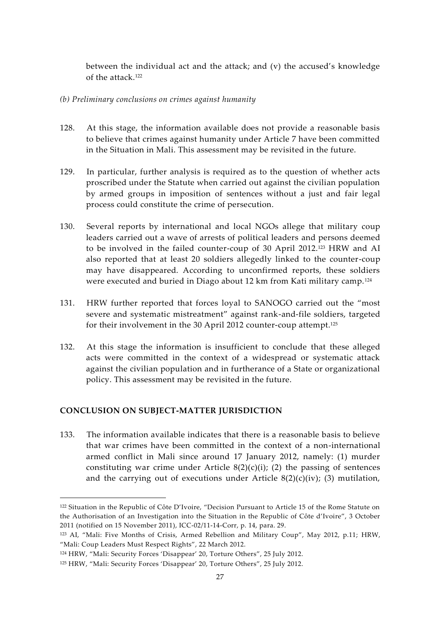between the individual act and the attack; and  $(v)$  the accused's knowledge of the attack.<sup>122</sup>

#### *(b) Preliminary conclusions on crimes against humanity*

- 128. At this stage, the information available does not provide a reasonable basis to believe that crimes against humanity under Article 7 have been committed in the Situation in Mali. This assessment may be revisited in the future.
- 129. In particular, further analysis is required as to the question of whether acts proscribed under the Statute when carried out against the civilian population by armed groups in imposition of sentences without a just and fair legal process could constitute the crime of persecution.
- 130. Several reports by international and local NGOs allege that military coup leaders carried out a wave of arrests of political leaders and persons deemed to be involved in the failed counter-coup of 30 April 2012.<sup>123</sup> HRW and AI also reported that at least 20 soldiers allegedly linked to the counter-coup may have disappeared. According to unconfirmed reports, these soldiers were executed and buried in Diago about 12 km from Kati military camp. <sup>124</sup>
- 131. HRW further reported that forces loyal to SANOGO carried out the "most severe and systematic mistreatment" against rank-and-file soldiers, targeted for their involvement in the 30 April 2012 counter-coup attempt.<sup>125</sup>
- 132. At this stage the information is insufficient to conclude that these alleged acts were committed in the context of a widespread or systematic attack against the civilian population and in furtherance of a State or organizational policy. This assessment may be revisited in the future.

## **CONCLUSION ON SUBJECT-MATTER JURISDICTION**

133. The information available indicates that there is a reasonable basis to believe that war crimes have been committed in the context of a non-international armed conflict in Mali since around 17 January 2012, namely: (1) murder constituting war crime under Article  $8(2)(c)(i)$ ; (2) the passing of sentences and the carrying out of executions under Article  $8(2)(c)(iv)$ ; (3) mutilation,

<sup>122</sup> Situation in the Republic of Côte D'Ivoire, "Decision Pursuant to Article 15 of the Rome Statute on the Authorisation of an Investigation into the Situation in the Republic of Côte d'Ivoire", 3 October 2011 (notified on 15 November 2011), ICC-02/11-14-Corr, p. 14, para. 29.

<sup>123</sup> AI, "Mali: Five Months of Crisis, Armed Rebellion and Military Coup", May 2012, p.11; HRW, "Mali: Coup Leaders Must Respect Rights", 22 March 2012.

<sup>124</sup> HRW, "Mali: Security Forces 'Disappear' 20, Torture Others", 25 July 2012.

<sup>125</sup> HRW, "Mali: Security Forces 'Disappear' 20, Torture Others", 25 July 2012.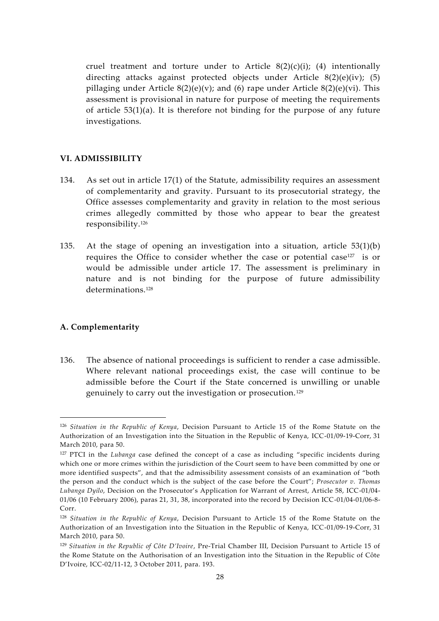cruel treatment and torture under to Article  $8(2)(c)(i)$ ; (4) intentionally directing attacks against protected objects under Article 8(2)(e)(iv); (5) pillaging under Article  $8(2)(e)(v)$ ; and (6) rape under Article  $8(2)(e)(vi)$ . This assessment is provisional in nature for purpose of meeting the requirements of article 53(1)(a). It is therefore not binding for the purpose of any future investigations.

#### **VI. ADMISSIBILITY**

- 134. As set out in article 17(1) of the Statute, admissibility requires an assessment of complementarity and gravity. Pursuant to its prosecutorial strategy, the Office assesses complementarity and gravity in relation to the most serious crimes allegedly committed by those who appear to bear the greatest responsibility.<sup>126</sup>
- 135. At the stage of opening an investigation into a situation, article 53(1)(b) requires the Office to consider whether the case or potential case <sup>127</sup> is or would be admissible under article 17. The assessment is preliminary in nature and is not binding for the purpose of future admissibility determinations.<sup>128</sup>

#### **A. Complementarity**

136. The absence of national proceedings is sufficient to render a case admissible. Where relevant national proceedings exist, the case will continue to be admissible before the Court if the State concerned is unwilling or unable genuinely to carry out the investigation or prosecution.<sup>129</sup>

<sup>126</sup> *Situation in the Republic of Kenya*, Decision Pursuant to Article 15 of the Rome Statute on the Authorization of an Investigation into the Situation in the Republic of Kenya, ICC-01/09-19-Corr, 31 March 2010, para 50.

<sup>127</sup> PTCI in the *Lubanga* case defined the concept of a case as including "specific incidents during which one or more crimes within the jurisdiction of the Court seem to have been committed by one or more identified suspects", and that the admissibility assessment consists of an examination of "both the person and the conduct which is the subject of the case before the Court"; *Prosecutor v. Thomas Lubanga Dyilo*, Decision on the Prosecutor's Application for Warrant of Arrest, Article 58, ICC-01/04- 01/06 (10 February 2006), paras 21, 31, 38, incorporated into the record by Decision ICC-01/04-01/06-8- Corr.

<sup>128</sup> *Situation in the Republic of Kenya*, Decision Pursuant to Article 15 of the Rome Statute on the Authorization of an Investigation into the Situation in the Republic of Kenya, ICC-01/09-19-Corr, 31 March 2010, para 50.

<sup>129</sup> *Situation in the Republic of Côte D'Ivoire*, Pre-Trial Chamber III, Decision Pursuant to Article 15 of the Rome Statute on the Authorisation of an Investigation into the Situation in the Republic of Côte D'Ivoire, ICC-02/11-12, 3 October 2011, para. 193.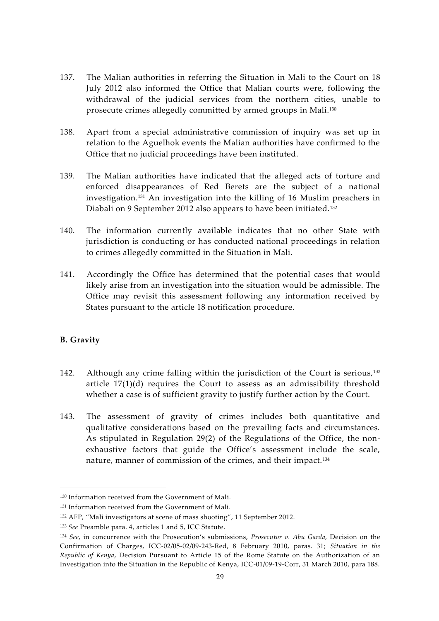- 137. The Malian authorities in referring the Situation in Mali to the Court on 18 July 2012 also informed the Office that Malian courts were, following the withdrawal of the judicial services from the northern cities, unable to prosecute crimes allegedly committed by armed groups in Mali.<sup>130</sup>
- 138. Apart from a special administrative commission of inquiry was set up in relation to the Aguelhok events the Malian authorities have confirmed to the Office that no judicial proceedings have been instituted.
- 139. The Malian authorities have indicated that the alleged acts of torture and enforced disappearances of Red Berets are the subject of a national investigation.<sup>131</sup> An investigation into the killing of 16 Muslim preachers in Diabali on 9 September 2012 also appears to have been initiated.<sup>132</sup>
- 140. The information currently available indicates that no other State with jurisdiction is conducting or has conducted national proceedings in relation to crimes allegedly committed in the Situation in Mali.
- 141. Accordingly the Office has determined that the potential cases that would likely arise from an investigation into the situation would be admissible. The Office may revisit this assessment following any information received by States pursuant to the article 18 notification procedure.

## **B. Gravity**

- 142. Although any crime falling within the jurisdiction of the Court is serious,<sup>133</sup> article  $17(1)(d)$  requires the Court to assess as an admissibility threshold whether a case is of sufficient gravity to justify further action by the Court.
- 143. The assessment of gravity of crimes includes both quantitative and qualitative considerations based on the prevailing facts and circumstances. As stipulated in Regulation 29(2) of the Regulations of the Office, the non exhaustive factors that guide the Office's assessment include the scale, nature, manner of commission of the crimes, and their impact.<sup>134</sup>

<sup>130</sup> Information received from the Government of Mali.

<sup>&</sup>lt;sup>131</sup> Information received from the Government of Mali.

<sup>132</sup> AFP, "Mali investigators at scene of mass shooting", 11 September 2012.

<sup>133</sup> *See* Preamble para. 4, articles 1 and 5, ICC Statute.

<sup>134</sup> *See*, in concurrence with the Prosecution's submissions, *Prosecutor v. Abu Garda,* Decision on the Confirmation of Charges, ICC-02/05-02/09-243-Red, 8 February 2010, paras. 31; *Situation in the Republic of Kenya*, Decision Pursuant to Article 15 of the Rome Statute on the Authorization of an Investigation into the Situation in the Republic of Kenya, ICC-01/09-19-Corr, 31 March 2010, para 188.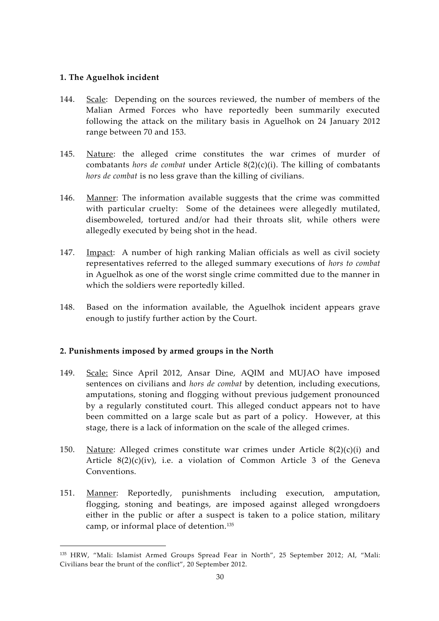#### **1. The Aguelhok incident**

- 144. Scale: Depending on the sources reviewed, the number of members of the Malian Armed Forces who have reportedly been summarily executed following the attack on the military basis in Aguelhok on 24 January 2012 range between 70 and 153.
- 145. Nature: the alleged crime constitutes the war crimes of murder of combatants *hors de combat* under Article 8(2)(c)(i). The killing of combatants *hors de combat* is no less grave than the killing of civilians.
- 146. Manner: The information available suggests that the crime was committed with particular cruelty: Some of the detainees were allegedly mutilated, disemboweled, tortured and/or had their throats slit, while others were allegedly executed by being shot in the head.
- 147. Impact: A number of high ranking Malian officials as well as civil society representatives referred to the alleged summary executions of *hors to combat* in Aguelhok as one of the worst single crime committed due to the manner in which the soldiers were reportedly killed.
- 148. Based on the information available, the Aguelhok incident appears grave enough to justify further action by the Court.

## **2. Punishments imposed by armed groups in the North**

- 149. Scale: Since April 2012, Ansar Dine, AQIM and MUJAO have imposed sentences on civilians and *hors de combat* by detention, including executions, amputations, stoning and flogging without previous judgement pronounced by a regularly constituted court. This alleged conduct appears not to have been committed on a large scale but as part of a policy. However, at this stage, there is a lack of information on the scale of the alleged crimes.
- 150. Nature: Alleged crimes constitute war crimes under Article  $8(2)(c)(i)$  and Article 8(2)(c)(iv), i.e. a violation of Common Article 3 of the Geneva Conventions.
- 151. Manner: Reportedly, punishments including execution, amputation, flogging, stoning and beatings, are imposed against alleged wrongdoers either in the public or after a suspect is taken to a police station, military camp, or informal place of detention.<sup>135</sup>

<sup>135</sup> HRW, "Mali: Islamist Armed Groups Spread Fear in North", 25 September 2012; AI, "Mali: Civilians bear the brunt of the conflict", 20 September 2012.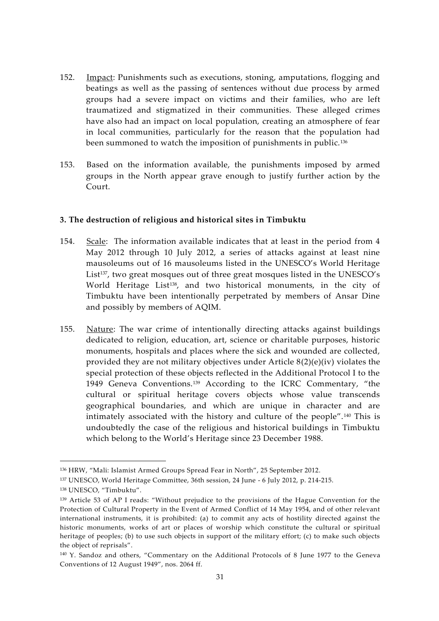- 152. Impact: Punishments such as executions, stoning, amputations, flogging and beatings as well as the passing of sentences without due process by armed groups had a severe impact on victims and their families, who are left traumatized and stigmatized in their communities. These alleged crimes have also had an impact on local population, creating an atmosphere of fear in local communities, particularly for the reason that the population had been summoned to watch the imposition of punishments in public.<sup>136</sup>
- 153. Based on the information available, the punishments imposed by armed groups in the North appear grave enough to justify further action by the Court.

#### **3. The destruction of religious and historical sites in Timbuktu**

- 154. Scale: The information available indicates that at least in the period from 4 May 2012 through 10 July 2012, a series of attacks against at least nine mausoleums out of 16 mausoleums listed in the UNESCO's World Heritage List<sup>137</sup>, two great mosques out of three great mosques listed in the UNESCO's World Heritage List<sup>138</sup>, and two historical monuments, in the city of Timbuktu have been intentionally perpetrated by members of Ansar Dine and possibly by members of AQIM.
- 155. Nature: The war crime of intentionally directing attacks against buildings dedicated to religion, education, art, science or charitable purposes, historic monuments, hospitals and places where the sick and wounded are collected, provided they are not military objectives under Article  $8(2)(e)(iv)$  violates the special protection of these objects reflected in the Additional Protocol I to the 1949 Geneva Conventions.<sup>139</sup> According to the ICRC Commentary, "the cultural or spiritual heritage covers objects whose value transcends geographical boundaries, and which are unique in character and are intimately associated with the history and culture of the people".<sup>140</sup> This is undoubtedly the case of the religious and historical buildings in Timbuktu which belong to the World's Heritage since 23 December 1988.

<sup>136</sup> HRW, "Mali: Islamist Armed Groups Spread Fear in North", 25 September 2012.

<sup>137</sup> UNESCO, World Heritage Committee, 36th session, 24 June - 6 July 2012, p. 214-215.

<sup>138</sup> UNESCO, "Timbuktu".

<sup>&</sup>lt;sup>139</sup> Article 53 of AP I reads: "Without prejudice to the provisions of the Hague Convention for the Protection of Cultural Property in the Event of Armed Conflict of 14 May 1954, and of other relevant international instruments, it is prohibited: (a) to commit any acts of hostility directed against the historic monuments, works of art or places of worship which constitute the cultural or spiritual heritage of peoples; (b) to use such objects in support of the military effort; (c) to make such objects the object of reprisals".

<sup>&</sup>lt;sup>140</sup> Y. Sandoz and others, "Commentary on the Additional Protocols of 8 June 1977 to the Geneva Conventions of 12 August 1949", nos. 2064 ff.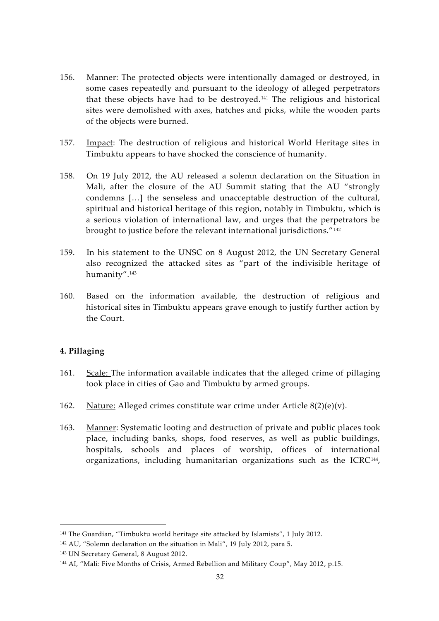- 156. Manner: The protected objects were intentionally damaged or destroyed, in some cases repeatedly and pursuant to the ideology of alleged perpetrators that these objects have had to be destroyed.<sup>141</sup> The religious and historical sites were demolished with axes, hatches and picks, while the wooden parts of the objects were burned.
- 157. Impact: The destruction of religious and historical World Heritage sites in Timbuktu appears to have shocked the conscience of humanity.
- 158. On 19 July 2012, the AU released a solemn declaration on the Situation in Mali, after the closure of the AU Summit stating that the AU "strongly condemns […] the senseless and unacceptable destruction of the cultural, spiritual and historical heritage of this region, notably in Timbuktu, which is a serious violation of international law, and urges that the perpetrators be brought to justice before the relevant international jurisdictions."<sup>142</sup>
- 159. In his statement to the UNSC on 8 August 2012, the UN Secretary General also recognized the attacked sites as "part of the indivisible heritage of humanity".<sup>143</sup>
- 160. Based on the information available, the destruction of religious and historical sites in Timbuktu appears grave enough to justify further action by the Court.

## **4. Pillaging**

- 161. Scale: The information available indicates that the alleged crime of pillaging took place in cities of Gao and Timbuktu by armed groups.
- 162. Nature: Alleged crimes constitute war crime under Article  $8(2)(e)(v)$ .
- 163. Manner: Systematic looting and destruction of private and public places took place, including banks, shops, food reserves, as well as public buildings, hospitals, schools and places of worship, offices of international organizations, including humanitarian organizations such as the ICRC<sup>144</sup>,

<sup>141</sup> The Guardian, "Timbuktu world heritage site attacked by Islamists", 1 July 2012.

<sup>142</sup> AU, "Solemn declaration on the situation in Mali", 19 July 2012, para 5.

<sup>143</sup> UN Secretary General, 8 August 2012.

<sup>144</sup> AI, "Mali: Five Months of Crisis, Armed Rebellion and Military Coup", May 2012, p.15.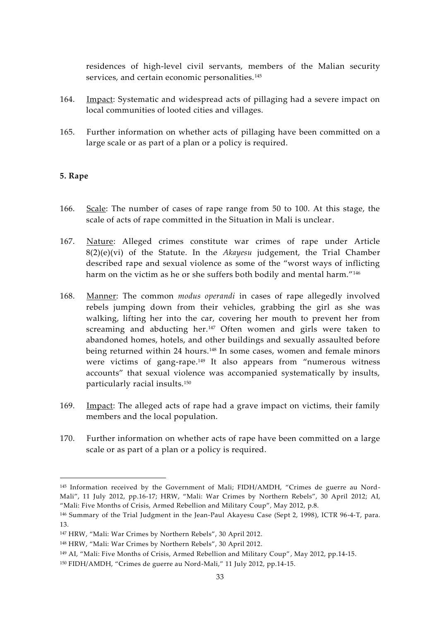residences of high-level civil servants, members of the Malian security services, and certain economic personalities.<sup>145</sup>

- 164. Impact: Systematic and widespread acts of pillaging had a severe impact on local communities of looted cities and villages.
- 165. Further information on whether acts of pillaging have been committed on a large scale or as part of a plan or a policy is required.

#### **5. Rape**

- 166. Scale: The number of cases of rape range from 50 to 100. At this stage, the scale of acts of rape committed in the Situation in Mali is unclear.
- 167. Nature: Alleged crimes constitute war crimes of rape under Article 8(2)(e)(vi) of the Statute. In the *Akayesu* judgement, the Trial Chamber described rape and sexual violence as some of the "worst ways of inflicting harm on the victim as he or she suffers both bodily and mental harm."<sup>146</sup>
- 168. Manner: The common *modus operandi* in cases of rape allegedly involved rebels jumping down from their vehicles, grabbing the girl as she was walking, lifting her into the car, covering her mouth to prevent her from screaming and abducting her.<sup>147</sup> Often women and girls were taken to abandoned homes, hotels, and other buildings and sexually assaulted before being returned within 24 hours.<sup>148</sup> In some cases, women and female minors were victims of gang-rape.<sup>149</sup> It also appears from "numerous witness accounts" that sexual violence was accompanied systematically by insults, particularly racial insults.<sup>150</sup>
- 169. Impact: The alleged acts of rape had a grave impact on victims, their family members and the local population.
- 170. Further information on whether acts of rape have been committed on a large scale or as part of a plan or a policy is required.

<sup>&</sup>lt;sup>145</sup> Information received by the Government of Mali; FIDH/AMDH, "Crimes de guerre au Nord-Mali", 11 July 2012, pp.16-17; HRW, "Mali: War Crimes by Northern Rebels", 30 April 2012; AI, "Mali: Five Months of Crisis, Armed Rebellion and Military Coup", May 2012, p.8.

<sup>146</sup> Summary of the Trial Judgment in the Jean-Paul Akayesu Case (Sept 2, 1998), ICTR 96-4-T, para. 13.

<sup>147</sup> HRW, "Mali: War Crimes by Northern Rebels", 30 April 2012.

<sup>148</sup> HRW, "Mali: War Crimes by Northern Rebels", 30 April 2012.

<sup>149</sup> AI, "Mali: Five Months of Crisis, Armed Rebellion and Military Coup", May 2012, pp.14-15.

<sup>150</sup> FIDH/AMDH, "Crimes de guerre au Nord-Mali," 11 July 2012, pp.14-15.